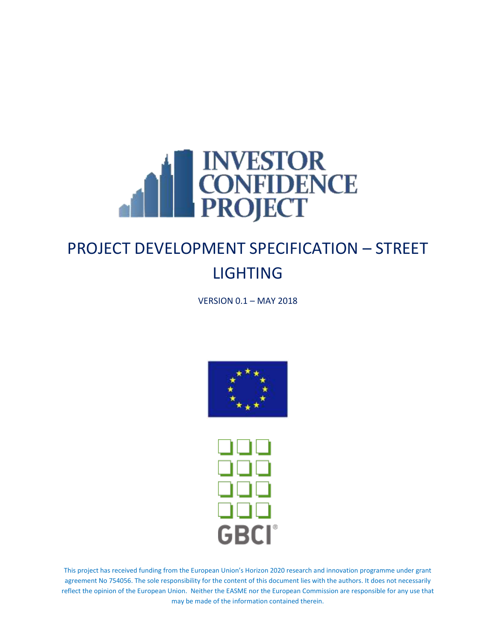

VERSION 0.1 – MAY 2018





This project has received funding from the European Union's Horizon 2020 research and innovation programme under grant agreement No 754056. The sole responsibility for the content of this document lies with the authors. It does not necessarily reflect the opinion of the European Union. Neither the EASME nor the European Commission are responsible for any use that may be made of the information contained therein.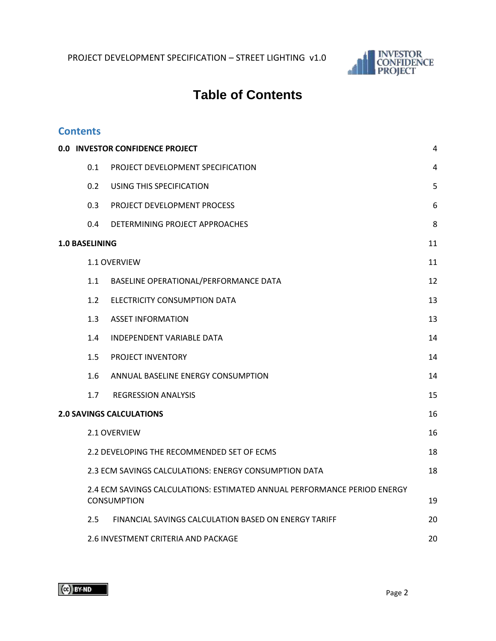

# **Table of Contents**

#### **Contents**

| 0.0 INVESTOR CONFIDENCE PROJECT                                                                |                                                       |    |  |  |  |
|------------------------------------------------------------------------------------------------|-------------------------------------------------------|----|--|--|--|
| 0.1                                                                                            | PROJECT DEVELOPMENT SPECIFICATION                     | 4  |  |  |  |
| 0.2                                                                                            | USING THIS SPECIFICATION                              | 5  |  |  |  |
| 0.3                                                                                            | PROJECT DEVELOPMENT PROCESS                           | 6  |  |  |  |
| 0.4                                                                                            | DETERMINING PROJECT APPROACHES                        | 8  |  |  |  |
| <b>1.0 BASELINING</b>                                                                          |                                                       | 11 |  |  |  |
|                                                                                                | <b>1.1 OVERVIEW</b>                                   | 11 |  |  |  |
| 1.1                                                                                            | BASELINE OPERATIONAL/PERFORMANCE DATA                 | 12 |  |  |  |
| 1.2 <sub>1</sub>                                                                               | ELECTRICITY CONSUMPTION DATA                          | 13 |  |  |  |
| 1.3                                                                                            | <b>ASSET INFORMATION</b>                              | 13 |  |  |  |
| 1.4                                                                                            | INDEPENDENT VARIABLE DATA                             | 14 |  |  |  |
| 1.5                                                                                            | PROJECT INVENTORY                                     | 14 |  |  |  |
| 1.6                                                                                            | ANNUAL BASELINE ENERGY CONSUMPTION                    | 14 |  |  |  |
| 1.7 <sup>2</sup>                                                                               | <b>REGRESSION ANALYSIS</b>                            | 15 |  |  |  |
|                                                                                                | <b>2.0 SAVINGS CALCULATIONS</b>                       | 16 |  |  |  |
|                                                                                                | 2.1 OVERVIEW                                          | 16 |  |  |  |
|                                                                                                | 2.2 DEVELOPING THE RECOMMENDED SET OF ECMS            | 18 |  |  |  |
|                                                                                                | 2.3 ECM SAVINGS CALCULATIONS: ENERGY CONSUMPTION DATA | 18 |  |  |  |
| 2.4 ECM SAVINGS CALCULATIONS: ESTIMATED ANNUAL PERFORMANCE PERIOD ENERGY<br><b>CONSUMPTION</b> |                                                       |    |  |  |  |
| 2.5                                                                                            | FINANCIAL SAVINGS CALCULATION BASED ON ENERGY TARIFF  | 20 |  |  |  |
| 2.6 INVESTMENT CRITERIA AND PACKAGE                                                            |                                                       |    |  |  |  |

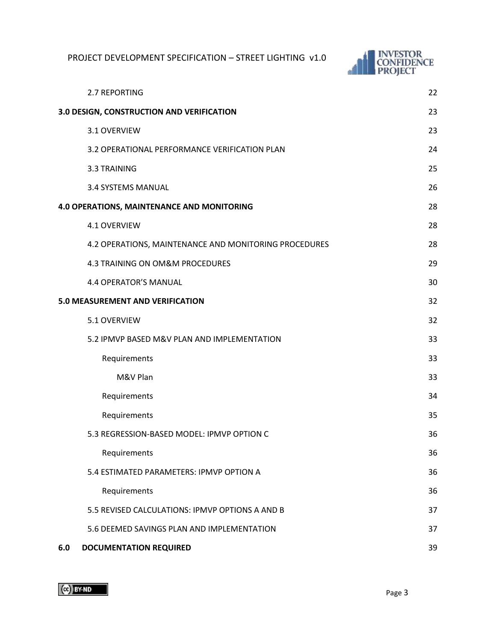

|     | 2.7 REPORTING                                         | 22 |
|-----|-------------------------------------------------------|----|
|     | 3.0 DESIGN, CONSTRUCTION AND VERIFICATION             | 23 |
|     | 3.1 OVERVIEW                                          | 23 |
|     | 3.2 OPERATIONAL PERFORMANCE VERIFICATION PLAN         | 24 |
|     | 3.3 TRAINING                                          | 25 |
|     | 3.4 SYSTEMS MANUAL                                    | 26 |
|     | 4.0 OPERATIONS, MAINTENANCE AND MONITORING            | 28 |
|     | 4.1 OVERVIEW                                          | 28 |
|     | 4.2 OPERATIONS, MAINTENANCE AND MONITORING PROCEDURES | 28 |
|     | 4.3 TRAINING ON OM&M PROCEDURES                       | 29 |
|     | <b>4.4 OPERATOR'S MANUAL</b>                          | 30 |
|     | <b>5.0 MEASUREMENT AND VERIFICATION</b>               | 32 |
|     | 5.1 OVERVIEW                                          | 32 |
|     | 5.2 IPMVP BASED M&V PLAN AND IMPLEMENTATION           | 33 |
|     | Requirements                                          | 33 |
|     | M&V Plan                                              | 33 |
|     | Requirements                                          | 34 |
|     | Requirements                                          | 35 |
|     | 5.3 REGRESSION-BASED MODEL: IPMVP OPTION C            | 36 |
|     | Requirements                                          | 36 |
|     | 5.4 ESTIMATED PARAMETERS: IPMVP OPTION A              | 36 |
|     | Requirements                                          | 36 |
|     | 5.5 REVISED CALCULATIONS: IPMVP OPTIONS A AND B       | 37 |
|     | 5.6 DEEMED SAVINGS PLAN AND IMPLEMENTATION            | 37 |
| 6.0 | <b>DOCUMENTATION REQUIRED</b>                         | 39 |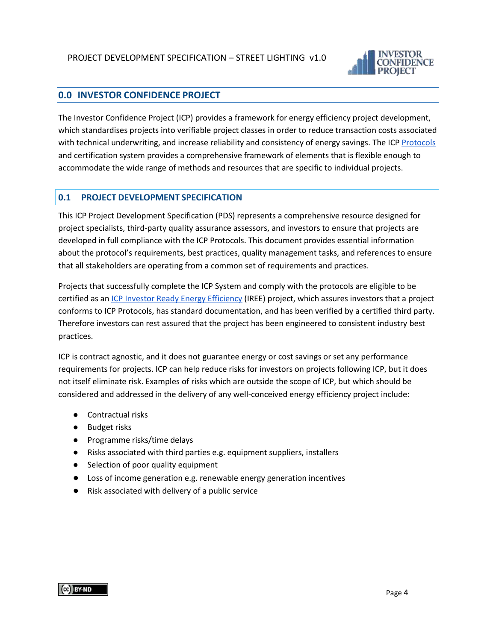

#### <span id="page-3-0"></span>**0.0 INVESTOR CONFIDENCE PROJECT**

The Investor Confidence Project (ICP) provides a framework for energy efficiency project development, which standardises projects into verifiable project classes in order to reduce transaction costs associated with technical underwriting, and increase reliability and consistency of energy savings. The IC[P Protocols](http://europe.eeperformance.org/projects.html) and certification system provides a comprehensive framework of elements that is flexible enough to accommodate the wide range of methods and resources that are specific to individual projects.

#### <span id="page-3-1"></span>**0.1 PROJECT DEVELOPMENT SPECIFICATION**

This ICP Project Development Specification (PDS) represents a comprehensive resource designed for project specialists, third-party quality assurance assessors, and investors to ensure that projects are developed in full compliance with the ICP Protocols. This document provides essential information about the protocol's requirements, best practices, quality management tasks, and references to ensure that all stakeholders are operating from a common set of requirements and practices.

Projects that successfully complete the ICP System and comply with the protocols are eligible to be certified as a[n ICP Investor Ready Energy Efficiency](http://europe.eeperformance.org/certification.html) (IREE) project, which assures investors that a project conforms to ICP Protocols, has standard documentation, and has been verified by a certified third party. Therefore investors can rest assured that the project has been engineered to consistent industry best practices.

ICP is contract agnostic, and it does not guarantee energy or cost savings or set any performance requirements for projects. ICP can help reduce risks for investors on projects following ICP, but it does not itself eliminate risk. Examples of risks which are outside the scope of ICP, but which should be considered and addressed in the delivery of any well-conceived energy efficiency project include:

- Contractual risks
- Budget risks
- Programme risks/time delays
- Risks associated with third parties e.g. equipment suppliers, installers
- Selection of poor quality equipment
- Loss of income generation e.g. renewable energy generation incentives
- Risk associated with delivery of a public service

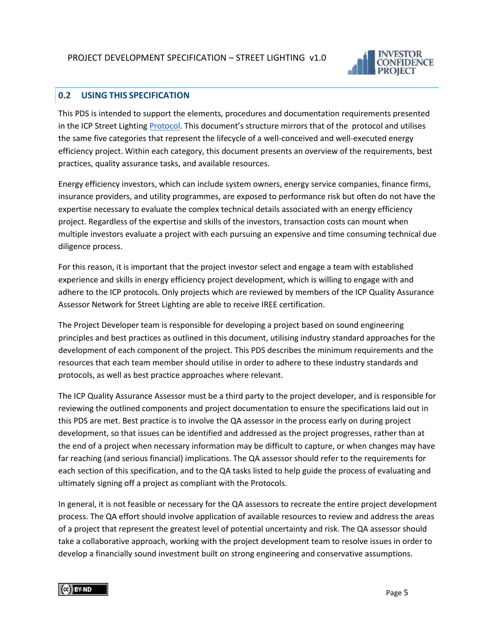

#### <span id="page-4-0"></span>**0.2 USING THIS SPECIFICATION**

This PDS is intended to support the elements, procedures and documentation requirements presented in the ICP Street Lightin[g Protocol](http://europe.eeperformance.org/street-lighting.html). This document's structure mirrors that of the protocol and utilises the same five categories that represent the lifecycle of a well-conceived and well-executed energy efficiency project. Within each category, this document presents an overview of the requirements, best practices, quality assurance tasks, and available resources.

Energy efficiency investors, which can include system owners, energy service companies, finance firms, insurance providers, and utility programmes, are exposed to performance risk but often do not have the expertise necessary to evaluate the complex technical details associated with an energy efficiency project. Regardless of the expertise and skills of the investors, transaction costs can mount when multiple investors evaluate a project with each pursuing an expensive and time consuming technical due diligence process.

For this reason, it is important that the project investor select and engage a team with established experience and skills in energy efficiency project development, which is willing to engage with and adhere to the ICP protocols. Only projects which are reviewed by members of the ICP Quality Assurance Assessor Network for Street Lighting are able to receive IREE certification.

The Project Developer team is responsible for developing a project based on sound engineering principles and best practices as outlined in this document, utilising industry standard approaches for the development of each component of the project. This PDS describes the minimum requirements and the resources that each team member should utilise in order to adhere to these industry standards and protocols, as well as best practice approaches where relevant.

The ICP Quality Assurance Assessor must be a third party to the project developer, and is responsible for reviewing the outlined components and project documentation to ensure the specifications laid out in this PDS are met. Best practice is to involve the QA assessor in the process early on during project development, so that issues can be identified and addressed as the project progresses, rather than at the end of a project when necessary information may be difficult to capture, or when changes may have far reaching (and serious financial) implications. The QA assessor should refer to the requirements for each section of this specification, and to the QA tasks listed to help guide the process of evaluating and ultimately signing off a project as compliant with the Protocols.

In general, it is not feasible or necessary for the QA assessors to recreate the entire project development process. The QA effort should involve application of available resources to review and address the areas of a project that represent the greatest level of potential uncertainty and risk. The QA assessor should take a collaborative approach, working with the project development team to resolve issues in order to develop a financially sound investment built on strong engineering and conservative assumptions.

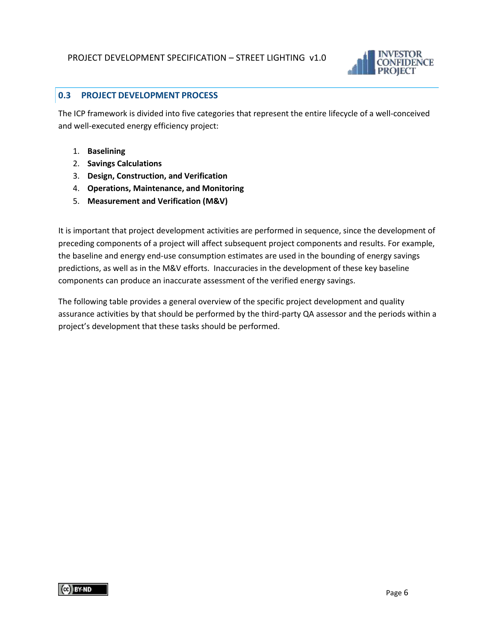

#### <span id="page-5-0"></span>**0.3 PROJECT DEVELOPMENT PROCESS**

The ICP framework is divided into five categories that represent the entire lifecycle of a well-conceived and well-executed energy efficiency project:

- 1. **Baselining**
- 2. **Savings Calculations**
- 3. **Design, Construction, and Verification**
- 4. **Operations, Maintenance, and Monitoring**
- 5. **Measurement and Verification (M&V)**

It is important that project development activities are performed in sequence, since the development of preceding components of a project will affect subsequent project components and results. For example, the baseline and energy end-use consumption estimates are used in the bounding of energy savings predictions, as well as in the M&V efforts. Inaccuracies in the development of these key baseline components can produce an inaccurate assessment of the verified energy savings.

The following table provides a general overview of the specific project development and quality assurance activities by that should be performed by the third-party QA assessor and the periods within a project's development that these tasks should be performed.

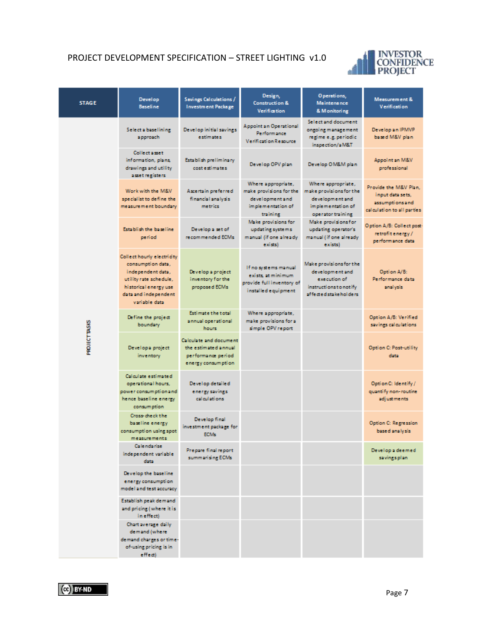

| <b>STAGE</b>         | <b>Develop</b><br><b>Baseline</b>                                                                                                                                | Savings Calculations /<br><b>Investment Package</b>                                               | Design,<br><b>Construction &amp;</b><br><b>Verification</b>                                       | Operations,<br><b>Maintenance</b><br>& Monitoring                                                             | Measurement &<br>Verification                                                              |
|----------------------|------------------------------------------------------------------------------------------------------------------------------------------------------------------|---------------------------------------------------------------------------------------------------|---------------------------------------------------------------------------------------------------|---------------------------------------------------------------------------------------------------------------|--------------------------------------------------------------------------------------------|
|                      | Select a baselining<br>approach                                                                                                                                  | Develop initial savings<br><b>estimates</b>                                                       | <b>Appoint an Operational</b><br>Performance<br><b>Verification Resource</b>                      | Select and document<br>ongoing management<br>regime e.g. periodic<br>inspection/aM&T                          | Develop an IPMVP<br>based M&V plan                                                         |
|                      | <b>Collect asset</b><br>information, plans,<br>drawings and utility<br>asset registers                                                                           | <b>Establish preliminary</b><br>cost estimates                                                    | Develop OPV plan                                                                                  | Develop OM&M plan                                                                                             | Appoint an M&V<br>professional                                                             |
|                      | Work with the M&V<br>specialist to define the<br>measurement boundary                                                                                            | Ascertain preferred<br>financial analysis<br>metrics                                              | Where appropriate,<br>make provisions for the<br>development and<br>implementation of<br>training | Where appropriate,<br>make provisions for the<br>development and<br>implementation of<br>operator training.   | Provide the M&V Plan.<br>input data sets,<br>assumptions and<br>calculation to all parties |
|                      | Establish the baseline<br>period                                                                                                                                 | Develop a set of<br>recommended ECMs                                                              | Make provisions for<br>updating systems<br>manual (if one already<br>exists)                      | Make provisions for<br>updating operator's<br>manual (if one already<br>exists)                               | Option A/B: Collect post-<br>retrofit energy/<br>performance data                          |
|                      | Collect hourly electricity<br>consumption data,<br>independent data,<br>utility rate schedule,<br>historical energy use<br>data and independent<br>variable data | Develop a project<br>inventory for the<br>proposed ECMs                                           | If no systems manual<br>exists, at minimum<br>provide full inventory of<br>installed equipment    | Make provisions for the<br>development and<br>execution of<br>instructions to notify<br>affected stakeholders | Option A/B:<br>Performance data<br>analysis                                                |
|                      | Define the project<br>boundary.                                                                                                                                  | <b>Estimate the total</b><br>annual operational<br>hours                                          | Where appropriate,<br>make provisions for a<br>simple OPV report                                  |                                                                                                               | Option A/B: Verified<br>savings calculations                                               |
| <b>PROJECT TASKS</b> | Developa project<br>inventory                                                                                                                                    | <b>Calculate and document</b><br>the estimated annual<br>performance period<br>energy consumption |                                                                                                   |                                                                                                               | <b>Option C: Post-utility</b><br>data                                                      |
|                      | Calculate estimated<br>operational hours,<br>power consumption and<br>hence baseline energy<br>consumption                                                       | Develop detailed<br>energy savings<br>calculations                                                |                                                                                                   |                                                                                                               | Option C: Identify /<br>quantify non-routine<br>adjustments                                |
|                      | Cross-check the<br>baseline energy<br>consumption using spot<br>measurements                                                                                     | Develop final<br>investment package for<br>ECM <sub>3</sub>                                       |                                                                                                   |                                                                                                               | <b>Option C: Regression</b><br>based analysis                                              |
|                      | Calendarise<br>independent variable<br>data                                                                                                                      | Prepare final report<br>summarising ECMs                                                          |                                                                                                   |                                                                                                               | Develop a deemed<br>savingsplan                                                            |
|                      | Develop the baseline<br>energy consumption<br>model and test accuracy                                                                                            |                                                                                                   |                                                                                                   |                                                                                                               |                                                                                            |
|                      | Establish peak demand<br>and pricing (where it is<br>in effect)                                                                                                  |                                                                                                   |                                                                                                   |                                                                                                               |                                                                                            |
|                      | Chart average daily<br>demand (where<br>demand charges or time-<br>of-using pricing is in<br>effect)                                                             |                                                                                                   |                                                                                                   |                                                                                                               |                                                                                            |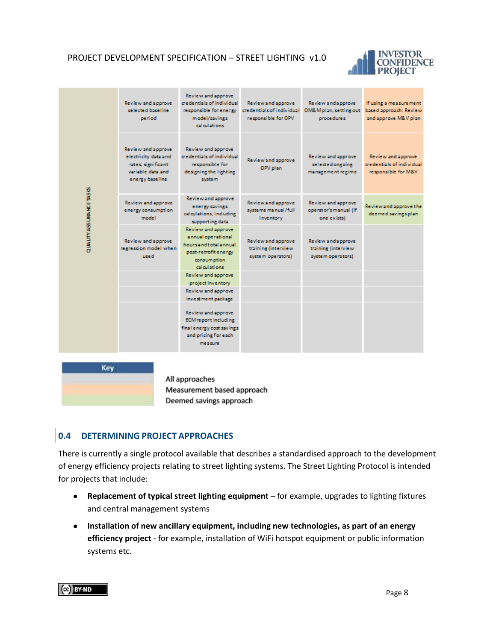

|                         | Review and approve<br>selected baseline<br>period                                                        | Review and approve<br>credentials of individual<br>responsible for energy<br>model/savings<br>calculations.               | Review and approve<br>credentials of individual<br>responsible for OPV | Review and approve<br>OM& M plan, setting out<br>procedures    | If using a measurement<br>based approach: Review<br>and approve M&V plan. |
|-------------------------|----------------------------------------------------------------------------------------------------------|---------------------------------------------------------------------------------------------------------------------------|------------------------------------------------------------------------|----------------------------------------------------------------|---------------------------------------------------------------------------|
|                         | Review and approve<br>electricity data and<br>rates, significant<br>variable data and<br>energy baseline | Review and approve<br>credentials of individual<br>responsible for<br>designing the lighting<br>system                    | Review and approve<br>OPV plan                                         | Review and approve<br>selected ongoing<br>management regime    | Review and approve<br>credentials of individual<br>responsible for M&V    |
| QUALITY ASSURANCE TASKS | Review and approve<br>energy consumption<br>model                                                        | Review and approve<br>energy savings.<br>calculations, induding<br>supporting data                                        | Review and approve<br>systems manual/full<br>inventory.                | Review and approve<br>operator's manual (if<br>one exists)     | Review and approve the<br>deemed savingsplan                              |
|                         | <b>Review and approve</b><br>regression model when<br>used                                               | Review and approve<br>annual operational<br>hours and total annual<br>post-retrofit energy<br>consumption<br>calculations | Review and approve<br>training (interview<br>system operators)         | Review and approve<br>training (interview<br>system operators) |                                                                           |
|                         |                                                                                                          | Review and approve<br>project inventory                                                                                   |                                                                        |                                                                |                                                                           |
|                         |                                                                                                          | Review and approve<br>investment package                                                                                  |                                                                        |                                                                |                                                                           |
|                         |                                                                                                          | Review and approve<br><b>ECM</b> report including<br>final energy cost savings<br>and pricing for each<br>measure         |                                                                        |                                                                |                                                                           |
| Key                     |                                                                                                          |                                                                                                                           |                                                                        |                                                                |                                                                           |

All approaches Measurement based approach Deemed savings approach

#### <span id="page-7-0"></span>**0.4 DETERMINING PROJECT APPROACHES**

There is currently a single protocol available that describes a standardised approach to the development of energy efficiency projects relating to street lighting systems. The Street Lighting Protocol is intended for projects that include:

- **Replacement of typical street lighting equipment –** for example, upgrades to lighting fixtures and central management systems
- **Installation of new ancillary equipment, including new technologies, as part of an energy efficiency project** - for example, installation of WiFi hotspot equipment or public information systems etc.

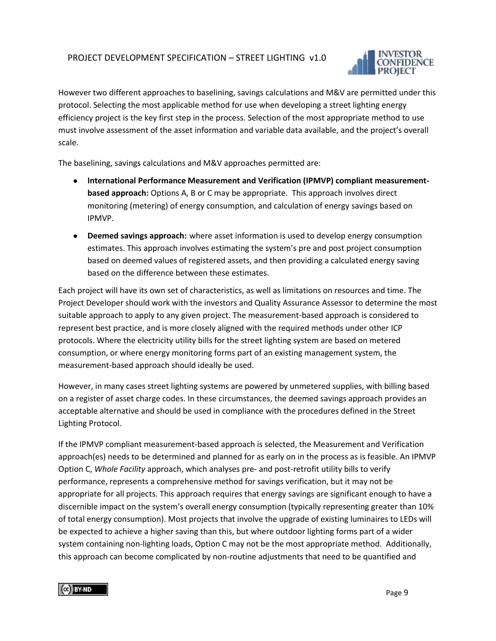

However two different approaches to baselining, savings calculations and M&V are permitted under this protocol. Selecting the most applicable method for use when developing a street lighting energy efficiency project is the key first step in the process. Selection of the most appropriate method to use must involve assessment of the asset information and variable data available, and the project's overall scale.

The baselining, savings calculations and M&V approaches permitted are:

- **International Performance Measurement and Verification (IPMVP) compliant measurementbased approach:** Options A, B or C may be appropriate. This approach involves direct monitoring (metering) of energy consumption, and calculation of energy savings based on IPMVP.
- **Deemed savings approach:** where asset information is used to develop energy consumption estimates. This approach involves estimating the system's pre and post project consumption based on deemed values of registered assets, and then providing a calculated energy saving based on the difference between these estimates.

Each project will have its own set of characteristics, as well as limitations on resources and time. The Project Developer should work with the investors and Quality Assurance Assessor to determine the most suitable approach to apply to any given project. The measurement-based approach is considered to represent best practice, and is more closely aligned with the required methods under other ICP protocols. Where the electricity utility bills for the street lighting system are based on metered consumption, or where energy monitoring forms part of an existing management system, the measurement-based approach should ideally be used.

However, in many cases street lighting systems are powered by unmetered supplies, with billing based on a register of asset charge codes. In these circumstances, the deemed savings approach provides an acceptable alternative and should be used in compliance with the procedures defined in the Street Lighting Protocol.

If the IPMVP compliant measurement-based approach is selected, the Measurement and Verification approach(es) needs to be determined and planned for as early on in the process as is feasible. An IPMVP Option C, *Whole Facility* approach, which analyses pre- and post-retrofit utility bills to verify performance, represents a comprehensive method for savings verification, but it may not be appropriate for all projects. This approach requires that energy savings are significant enough to have a discernible impact on the system's overall energy consumption (typically representing greater than 10% of total energy consumption). Most projects that involve the upgrade of existing luminaires to LEDs will be expected to achieve a higher saving than this, but where outdoor lighting forms part of a wider system containing non-lighting loads, Option C may not be the most appropriate method. Additionally, this approach can become complicated by non-routine adjustments that need to be quantified and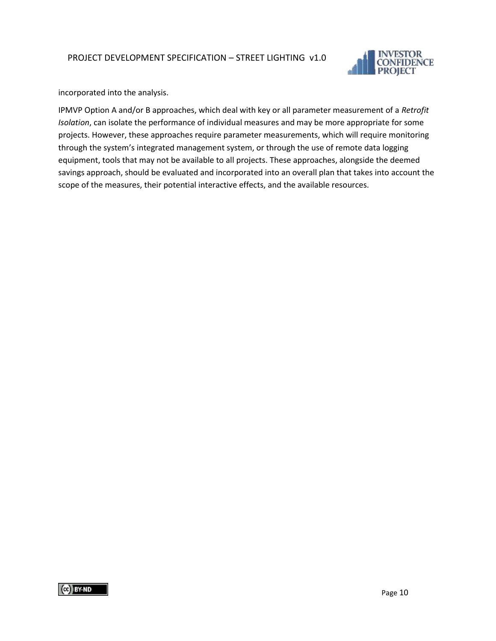

incorporated into the analysis.

IPMVP Option A and/or B approaches, which deal with key or all parameter measurement of a *Retrofit Isolation*, can isolate the performance of individual measures and may be more appropriate for some projects. However, these approaches require parameter measurements, which will require monitoring through the system's integrated management system, or through the use of remote data logging equipment, tools that may not be available to all projects. These approaches, alongside the deemed savings approach, should be evaluated and incorporated into an overall plan that takes into account the scope of the measures, their potential interactive effects, and the available resources.

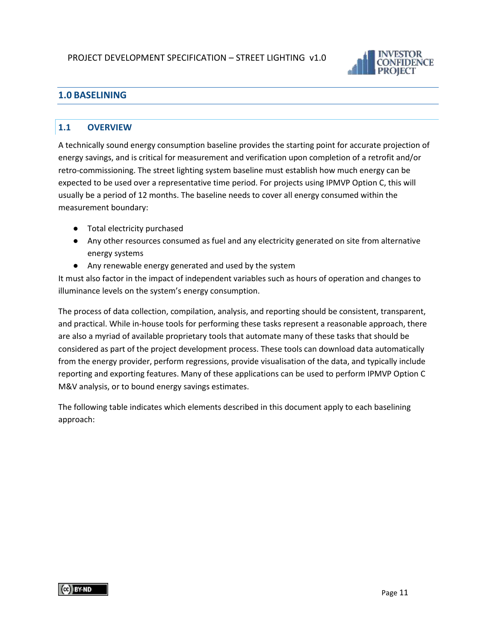

# <span id="page-10-0"></span>**1.0 BASELINING**

#### <span id="page-10-1"></span>**1.1 OVERVIEW**

A technically sound energy consumption baseline provides the starting point for accurate projection of energy savings, and is critical for measurement and verification upon completion of a retrofit and/or retro-commissioning. The street lighting system baseline must establish how much energy can be expected to be used over a representative time period. For projects using IPMVP Option C, this will usually be a period of 12 months. The baseline needs to cover all energy consumed within the measurement boundary:

- Total electricity purchased
- Any other resources consumed as fuel and any electricity generated on site from alternative energy systems
- Any renewable energy generated and used by the system

It must also factor in the impact of independent variables such as hours of operation and changes to illuminance levels on the system's energy consumption.

The process of data collection, compilation, analysis, and reporting should be consistent, transparent, and practical. While in-house tools for performing these tasks represent a reasonable approach, there are also a myriad of available proprietary tools that automate many of these tasks that should be considered as part of the project development process. These tools can download data automatically from the energy provider, perform regressions, provide visualisation of the data, and typically include reporting and exporting features. Many of these applications can be used to perform IPMVP Option C M&V analysis, or to bound energy savings estimates.

The following table indicates which elements described in this document apply to each baselining approach: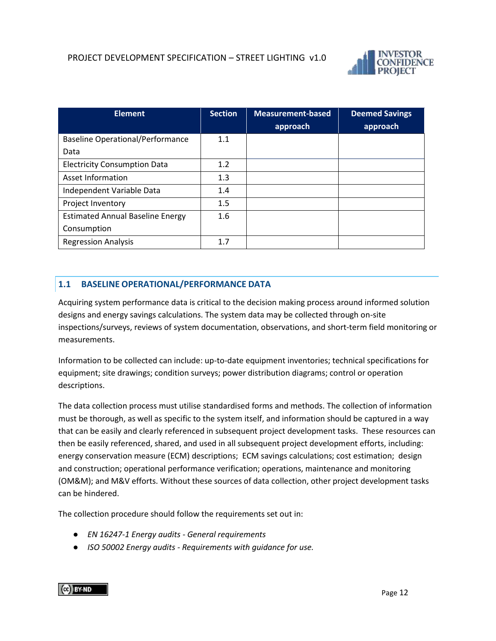

| <b>Element</b>                          | Section | Measurement-based<br>approach | <b>Deemed Savings</b><br>approach |
|-----------------------------------------|---------|-------------------------------|-----------------------------------|
|                                         |         |                               |                                   |
| <b>Baseline Operational/Performance</b> | 1.1     |                               |                                   |
| Data                                    |         |                               |                                   |
| <b>Electricity Consumption Data</b>     | 1.2     |                               |                                   |
| Asset Information                       | 1.3     |                               |                                   |
| Independent Variable Data               | 1.4     |                               |                                   |
| Project Inventory                       | 1.5     |                               |                                   |
| <b>Estimated Annual Baseline Energy</b> | 1.6     |                               |                                   |
| Consumption                             |         |                               |                                   |
| <b>Regression Analysis</b>              | 1.7     |                               |                                   |

#### <span id="page-11-0"></span>**1.1 BASELINE OPERATIONAL/PERFORMANCE DATA**

Acquiring system performance data is critical to the decision making process around informed solution designs and energy savings calculations. The system data may be collected through on-site inspections/surveys, reviews of system documentation, observations, and short-term field monitoring or measurements.

Information to be collected can include: up-to-date equipment inventories; technical specifications for equipment; site drawings; condition surveys; power distribution diagrams; control or operation descriptions.

The data collection process must utilise standardised forms and methods. The collection of information must be thorough, as well as specific to the system itself, and information should be captured in a way that can be easily and clearly referenced in subsequent project development tasks. These resources can then be easily referenced, shared, and used in all subsequent project development efforts, including: energy conservation measure (ECM) descriptions; ECM savings calculations; cost estimation; design and construction; operational performance verification; operations, maintenance and monitoring (OM&M); and M&V efforts. Without these sources of data collection, other project development tasks can be hindered.

The collection procedure should follow the requirements set out in:

- *EN 16247-1 Energy audits - General requirements*
- *ISO 50002 Energy audits - Requirements with guidance for use.*

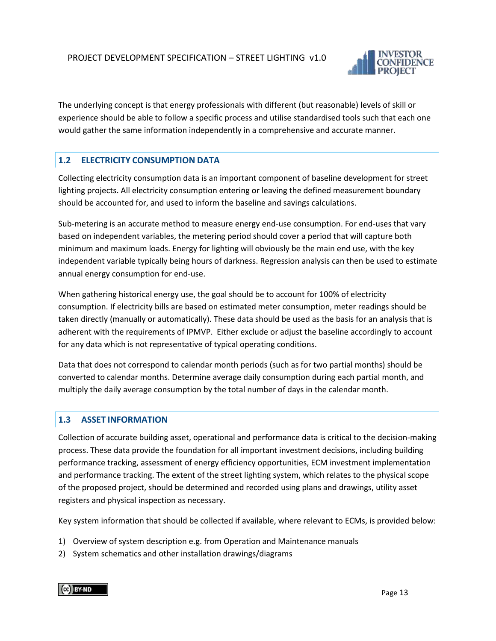

The underlying concept is that energy professionals with different (but reasonable) levels of skill or experience should be able to follow a specific process and utilise standardised tools such that each one would gather the same information independently in a comprehensive and accurate manner.

#### <span id="page-12-0"></span>**1.2 ELECTRICITY CONSUMPTION DATA**

Collecting electricity consumption data is an important component of baseline development for street lighting projects. All electricity consumption entering or leaving the defined measurement boundary should be accounted for, and used to inform the baseline and savings calculations.

Sub-metering is an accurate method to measure energy end-use consumption. For end-uses that vary based on independent variables, the metering period should cover a period that will capture both minimum and maximum loads. Energy for lighting will obviously be the main end use, with the key independent variable typically being hours of darkness. Regression analysis can then be used to estimate annual energy consumption for end-use.

When gathering historical energy use, the goal should be to account for 100% of electricity consumption. If electricity bills are based on estimated meter consumption, meter readings should be taken directly (manually or automatically). These data should be used as the basis for an analysis that is adherent with the requirements of IPMVP. Either exclude or adjust the baseline accordingly to account for any data which is not representative of typical operating conditions.

Data that does not correspond to calendar month periods (such as for two partial months) should be converted to calendar months. Determine average daily consumption during each partial month, and multiply the daily average consumption by the total number of days in the calendar month.

#### <span id="page-12-1"></span>**1.3 ASSET INFORMATION**

Collection of accurate building asset, operational and performance data is critical to the decision-making process. These data provide the foundation for all important investment decisions, including building performance tracking, assessment of energy efficiency opportunities, ECM investment implementation and performance tracking. The extent of the street lighting system, which relates to the physical scope of the proposed project, should be determined and recorded using plans and drawings, utility asset registers and physical inspection as necessary.

Key system information that should be collected if available, where relevant to ECMs, is provided below:

- 1) Overview of system description e.g. from Operation and Maintenance manuals
- 2) System schematics and other installation drawings/diagrams

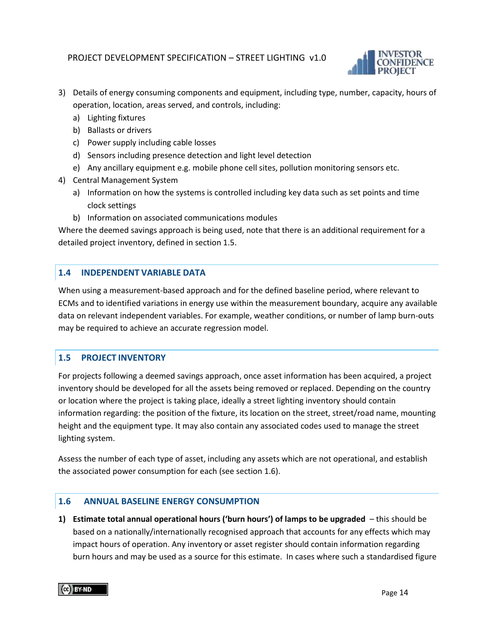

- 3) Details of energy consuming components and equipment, including type, number, capacity, hours of operation, location, areas served, and controls, including:
	- a) Lighting fixtures
	- b) Ballasts or drivers
	- c) Power supply including cable losses
	- d) Sensors including presence detection and light level detection
	- e) Any ancillary equipment e.g. mobile phone cell sites, pollution monitoring sensors etc.
- 4) Central Management System
	- a) Information on how the systems is controlled including key data such as set points and time clock settings
	- b) Information on associated communications modules

Where the deemed savings approach is being used, note that there is an additional requirement for a detailed project inventory, defined in section 1.5.

#### <span id="page-13-0"></span>**1.4 INDEPENDENT VARIABLE DATA**

When using a measurement-based approach and for the defined baseline period, where relevant to ECMs and to identified variations in energy use within the measurement boundary, acquire any available data on relevant independent variables. For example, weather conditions, or number of lamp burn-outs may be required to achieve an accurate regression model.

#### <span id="page-13-1"></span>**1.5 PROJECT INVENTORY**

For projects following a deemed savings approach, once asset information has been acquired, a project inventory should be developed for all the assets being removed or replaced. Depending on the country or location where the project is taking place, ideally a street lighting inventory should contain information regarding: the position of the fixture, its location on the street, street/road name, mounting height and the equipment type. It may also contain any associated codes used to manage the street lighting system.

Assess the number of each type of asset, including any assets which are not operational, and establish the associated power consumption for each (see section 1.6).

#### <span id="page-13-2"></span>**1.6 ANNUAL BASELINE ENERGY CONSUMPTION**

**1) Estimate total annual operational hours ('burn hours') of lamps to be upgraded** – this should be based on a nationally/internationally recognised approach that accounts for any effects which may impact hours of operation. Any inventory or asset register should contain information regarding burn hours and may be used as a source for this estimate. In cases where such a standardised figure

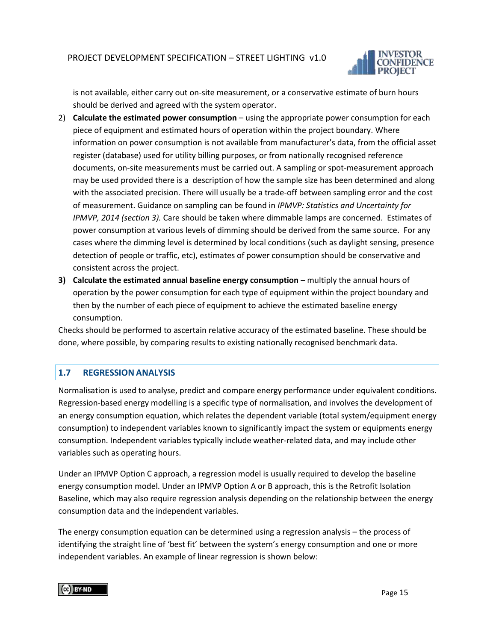

is not available, either carry out on-site measurement, or a conservative estimate of burn hours should be derived and agreed with the system operator.

- 2) **Calculate the estimated power consumption** using the appropriate power consumption for each piece of equipment and estimated hours of operation within the project boundary. Where information on power consumption is not available from manufacturer's data, from the official asset register (database) used for utility billing purposes, or from nationally recognised reference documents, on-site measurements must be carried out. A sampling or spot-measurement approach may be used provided there is a description of how the sample size has been determined and along with the associated precision. There will usually be a trade-off between sampling error and the cost of measurement. Guidance on sampling can be found in *IPMVP: Statistics and Uncertainty for IPMVP, 2014 (section 3).* Care should be taken where dimmable lamps are concerned. Estimates of power consumption at various levels of dimming should be derived from the same source. For any cases where the dimming level is determined by local conditions (such as daylight sensing, presence detection of people or traffic, etc), estimates of power consumption should be conservative and consistent across the project.
- **3) Calculate the estimated annual baseline energy consumption** multiply the annual hours of operation by the power consumption for each type of equipment within the project boundary and then by the number of each piece of equipment to achieve the estimated baseline energy consumption.

Checks should be performed to ascertain relative accuracy of the estimated baseline. These should be done, where possible, by comparing results to existing nationally recognised benchmark data.

#### <span id="page-14-0"></span>**1.7 REGRESSION ANALYSIS**

Normalisation is used to analyse, predict and compare energy performance under equivalent conditions. Regression-based energy modelling is a specific type of normalisation, and involves the development of an energy consumption equation, which relates the dependent variable (total system/equipment energy consumption) to independent variables known to significantly impact the system or equipments energy consumption. Independent variables typically include weather-related data, and may include other variables such as operating hours.

Under an IPMVP Option C approach, a regression model is usually required to develop the baseline energy consumption model. Under an IPMVP Option A or B approach, this is the Retrofit Isolation Baseline, which may also require regression analysis depending on the relationship between the energy consumption data and the independent variables.

The energy consumption equation can be determined using a regression analysis – the process of identifying the straight line of 'best fit' between the system's energy consumption and one or more independent variables. An example of linear regression is shown below:

CC BY-ND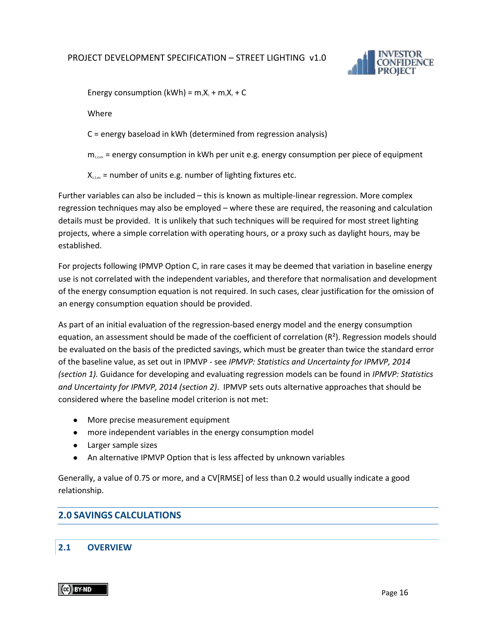

Energy consumption (kWh) =  $m_1X_1 + m_2X_2 + C$ 

Where

C = energy baseload in kWh (determined from regression analysis)

 $m_{1,2,etc}$  = energy consumption in kWh per unit e.g. energy consumption per piece of equipment

 $X_{1,2,enc}$  = number of units e.g. number of lighting fixtures etc.

Further variables can also be included – this is known as multiple-linear regression. More complex regression techniques may also be employed – where these are required, the reasoning and calculation details must be provided. It is unlikely that such techniques will be required for most street lighting projects, where a simple correlation with operating hours, or a proxy such as daylight hours, may be established.

For projects following IPMVP Option C, in rare cases it may be deemed that variation in baseline energy use is not correlated with the independent variables, and therefore that normalisation and development of the energy consumption equation is not required. In such cases, clear justification for the omission of an energy consumption equation should be provided.

As part of an initial evaluation of the regression-based energy model and the energy consumption equation, an assessment should be made of the coefficient of correlation  $(R^2)$ . Regression models should be evaluated on the basis of the predicted savings, which must be greater than twice the standard error of the baseline value, as set out in IPMVP - see *IPMVP: Statistics and Uncertainty for IPMVP, 2014 (section 1).* Guidance for developing and evaluating regression models can be found in *IPMVP: Statistics and Uncertainty for IPMVP, 2014 (section 2)*. IPMVP sets outs alternative approaches that should be considered where the baseline model criterion is not met:

- More precise measurement equipment
- more independent variables in the energy consumption model
- Larger sample sizes
- An alternative IPMVP Option that is less affected by unknown variables

Generally, a value of 0.75 or more, and a CV[RMSE] of less than 0.2 would usually indicate a good relationship.

#### <span id="page-15-0"></span>**2.0 SAVINGS CALCULATIONS**

#### <span id="page-15-1"></span>**2.1 OVERVIEW**

CC BY-ND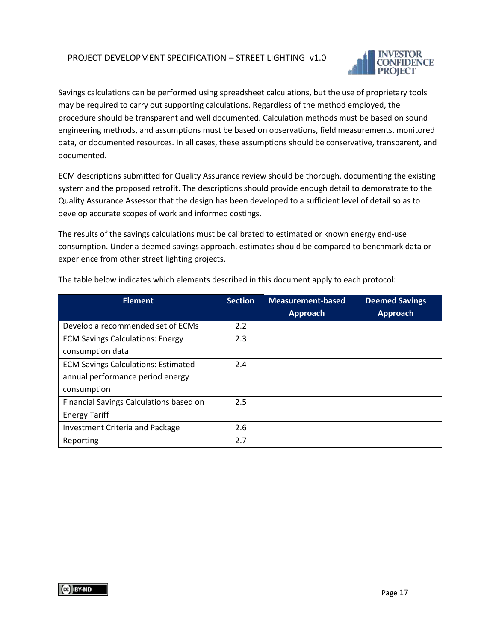

Savings calculations can be performed using spreadsheet calculations, but the use of proprietary tools may be required to carry out supporting calculations. Regardless of the method employed, the procedure should be transparent and well documented. Calculation methods must be based on sound engineering methods, and assumptions must be based on observations, field measurements, monitored data, or documented resources. In all cases, these assumptions should be conservative, transparent, and documented.

ECM descriptions submitted for Quality Assurance review should be thorough, documenting the existing system and the proposed retrofit. The descriptions should provide enough detail to demonstrate to the Quality Assurance Assessor that the design has been developed to a sufficient level of detail so as to develop accurate scopes of work and informed costings.

The results of the savings calculations must be calibrated to estimated or known energy end-use consumption. Under a deemed savings approach, estimates should be compared to benchmark data or experience from other street lighting projects.

| <b>Element</b>                             | <b>Section</b> | <b>Measurement-based</b> | <b>Deemed Savings</b> |
|--------------------------------------------|----------------|--------------------------|-----------------------|
|                                            |                | <b>Approach</b>          | <b>Approach</b>       |
| Develop a recommended set of ECMs          | 2.2            |                          |                       |
| <b>ECM Savings Calculations: Energy</b>    | 2.3            |                          |                       |
| consumption data                           |                |                          |                       |
| <b>ECM Savings Calculations: Estimated</b> | 2.4            |                          |                       |
| annual performance period energy           |                |                          |                       |
| consumption                                |                |                          |                       |
| Financial Savings Calculations based on    | 2.5            |                          |                       |
| <b>Energy Tariff</b>                       |                |                          |                       |
| <b>Investment Criteria and Package</b>     | 2.6            |                          |                       |
| Reporting                                  | 2.7            |                          |                       |

The table below indicates which elements described in this document apply to each protocol: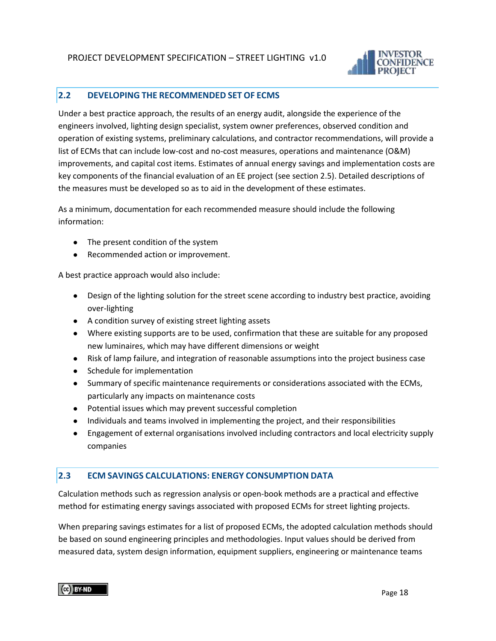

#### <span id="page-17-0"></span>**2.2 DEVELOPING THE RECOMMENDED SET OF ECMS**

Under a best practice approach, the results of an energy audit, alongside the experience of the engineers involved, lighting design specialist, system owner preferences, observed condition and operation of existing systems, preliminary calculations, and contractor recommendations, will provide a list of ECMs that can include low-cost and no-cost measures, operations and maintenance (O&M) improvements, and capital cost items. Estimates of annual energy savings and implementation costs are key components of the financial evaluation of an EE project (see section 2.5). Detailed descriptions of the measures must be developed so as to aid in the development of these estimates.

As a minimum, documentation for each recommended measure should include the following information:

- The present condition of the system
- Recommended action or improvement.

A best practice approach would also include:

- Design of the lighting solution for the street scene according to industry best practice, avoiding over-lighting
- A condition survey of existing street lighting assets
- Where existing supports are to be used, confirmation that these are suitable for any proposed new luminaires, which may have different dimensions or weight
- Risk of lamp failure, and integration of reasonable assumptions into the project business case
- Schedule for implementation
- Summary of specific maintenance requirements or considerations associated with the ECMs, particularly any impacts on maintenance costs
- Potential issues which may prevent successful completion
- Individuals and teams involved in implementing the project, and their responsibilities
- Engagement of external organisations involved including contractors and local electricity supply companies

#### <span id="page-17-1"></span>**2.3 ECM SAVINGS CALCULATIONS: ENERGY CONSUMPTION DATA**

Calculation methods such as regression analysis or open-book methods are a practical and effective method for estimating energy savings associated with proposed ECMs for street lighting projects.

When preparing savings estimates for a list of proposed ECMs, the adopted calculation methods should be based on sound engineering principles and methodologies. Input values should be derived from measured data, system design information, equipment suppliers, engineering or maintenance teams

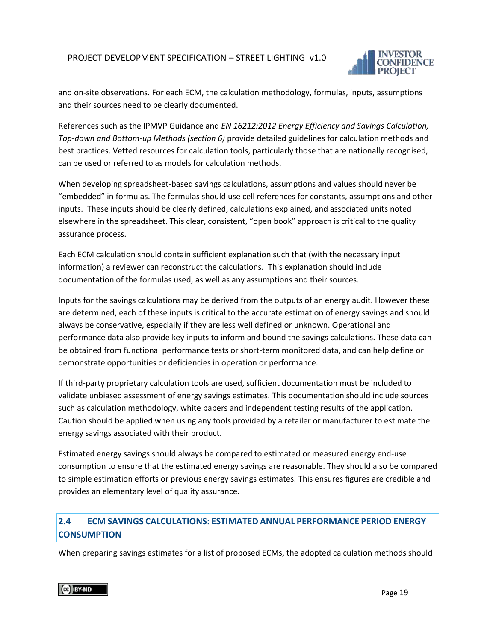

and on-site observations. For each ECM, the calculation methodology, formulas, inputs, assumptions and their sources need to be clearly documented.

References such as the IPMVP Guidance and *EN 16212:2012 Energy Efficiency and Savings Calculation, Top-down and Bottom-up Methods (section 6)* provide detailed guidelines for calculation methods and best practices. Vetted resources for calculation tools, particularly those that are nationally recognised, can be used or referred to as models for calculation methods.

When developing spreadsheet-based savings calculations, assumptions and values should never be "embedded" in formulas. The formulas should use cell references for constants, assumptions and other inputs. These inputs should be clearly defined, calculations explained, and associated units noted elsewhere in the spreadsheet. This clear, consistent, "open book" approach is critical to the quality assurance process.

Each ECM calculation should contain sufficient explanation such that (with the necessary input information) a reviewer can reconstruct the calculations. This explanation should include documentation of the formulas used, as well as any assumptions and their sources.

Inputs for the savings calculations may be derived from the outputs of an energy audit. However these are determined, each of these inputs is critical to the accurate estimation of energy savings and should always be conservative, especially if they are less well defined or unknown. Operational and performance data also provide key inputs to inform and bound the savings calculations. These data can be obtained from functional performance tests or short-term monitored data, and can help define or demonstrate opportunities or deficiencies in operation or performance.

If third-party proprietary calculation tools are used, sufficient documentation must be included to validate unbiased assessment of energy savings estimates. This documentation should include sources such as calculation methodology, white papers and independent testing results of the application. Caution should be applied when using any tools provided by a retailer or manufacturer to estimate the energy savings associated with their product.

Estimated energy savings should always be compared to estimated or measured energy end-use consumption to ensure that the estimated energy savings are reasonable. They should also be compared to simple estimation efforts or previous energy savings estimates. This ensures figures are credible and provides an elementary level of quality assurance.

# <span id="page-18-0"></span>**2.4 ECM SAVINGS CALCULATIONS: ESTIMATED ANNUAL PERFORMANCE PERIOD ENERGY CONSUMPTION**

When preparing savings estimates for a list of proposed ECMs, the adopted calculation methods should

CG BY-ND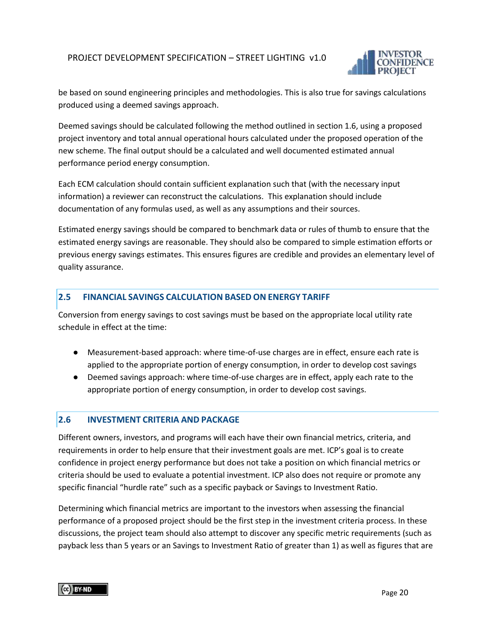

be based on sound engineering principles and methodologies. This is also true for savings calculations produced using a deemed savings approach.

Deemed savings should be calculated following the method outlined in section 1.6, using a proposed project inventory and total annual operational hours calculated under the proposed operation of the new scheme. The final output should be a calculated and well documented estimated annual performance period energy consumption.

Each ECM calculation should contain sufficient explanation such that (with the necessary input information) a reviewer can reconstruct the calculations. This explanation should include documentation of any formulas used, as well as any assumptions and their sources.

Estimated energy savings should be compared to benchmark data or rules of thumb to ensure that the estimated energy savings are reasonable. They should also be compared to simple estimation efforts or previous energy savings estimates. This ensures figures are credible and provides an elementary level of quality assurance.

#### <span id="page-19-0"></span>**2.5 FINANCIAL SAVINGS CALCULATION BASED ON ENERGY TARIFF**

Conversion from energy savings to cost savings must be based on the appropriate local utility rate schedule in effect at the time:

- Measurement-based approach: where time-of-use charges are in effect, ensure each rate is applied to the appropriate portion of energy consumption, in order to develop cost savings
- Deemed savings approach: where time-of-use charges are in effect, apply each rate to the appropriate portion of energy consumption, in order to develop cost savings.

#### <span id="page-19-1"></span>**2.6 INVESTMENT CRITERIA AND PACKAGE**

Different owners, investors, and programs will each have their own financial metrics, criteria, and requirements in order to help ensure that their investment goals are met. ICP's goal is to create confidence in project energy performance but does not take a position on which financial metrics or criteria should be used to evaluate a potential investment. ICP also does not require or promote any specific financial "hurdle rate" such as a specific payback or Savings to Investment Ratio.

Determining which financial metrics are important to the investors when assessing the financial performance of a proposed project should be the first step in the investment criteria process. In these discussions, the project team should also attempt to discover any specific metric requirements (such as payback less than 5 years or an Savings to Investment Ratio of greater than 1) as well as figures that are

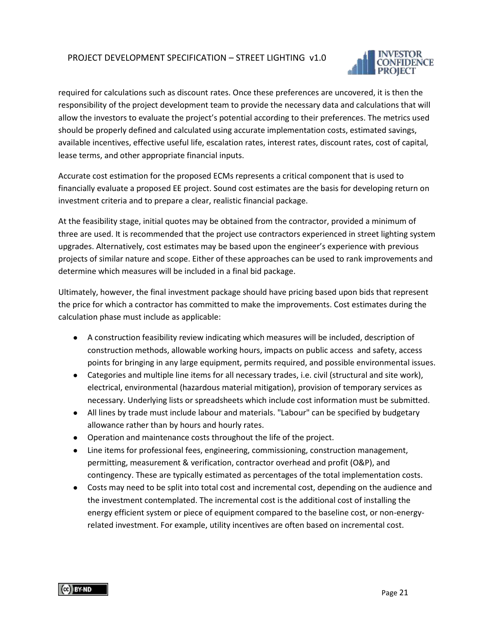

required for calculations such as discount rates. Once these preferences are uncovered, it is then the responsibility of the project development team to provide the necessary data and calculations that will allow the investors to evaluate the project's potential according to their preferences. The metrics used should be properly defined and calculated using accurate implementation costs, estimated savings, available incentives, effective useful life, escalation rates, interest rates, discount rates, cost of capital, lease terms, and other appropriate financial inputs.

Accurate cost estimation for the proposed ECMs represents a critical component that is used to financially evaluate a proposed EE project. Sound cost estimates are the basis for developing return on investment criteria and to prepare a clear, realistic financial package.

At the feasibility stage, initial quotes may be obtained from the contractor, provided a minimum of three are used. It is recommended that the project use contractors experienced in street lighting system upgrades. Alternatively, cost estimates may be based upon the engineer's experience with previous projects of similar nature and scope. Either of these approaches can be used to rank improvements and determine which measures will be included in a final bid package.

Ultimately, however, the final investment package should have pricing based upon bids that represent the price for which a contractor has committed to make the improvements. Cost estimates during the calculation phase must include as applicable:

- A construction feasibility review indicating which measures will be included, description of construction methods, allowable working hours, impacts on public access and safety, access points for bringing in any large equipment, permits required, and possible environmental issues.
- Categories and multiple line items for all necessary trades, i.e. civil (structural and site work), electrical, environmental (hazardous material mitigation), provision of temporary services as necessary. Underlying lists or spreadsheets which include cost information must be submitted.
- All lines by trade must include labour and materials. "Labour" can be specified by budgetary allowance rather than by hours and hourly rates.
- Operation and maintenance costs throughout the life of the project.
- Line items for professional fees, engineering, commissioning, construction management, permitting, measurement & verification, contractor overhead and profit (O&P), and contingency. These are typically estimated as percentages of the total implementation costs.
- Costs may need to be split into total cost and incremental cost, depending on the audience and the investment contemplated. The incremental cost is the additional cost of installing the energy efficient system or piece of equipment compared to the baseline cost, or non-energyrelated investment. For example, utility incentives are often based on incremental cost.

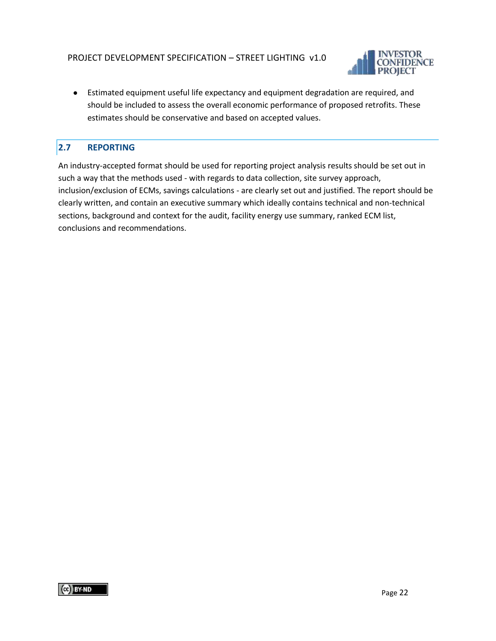

● Estimated equipment useful life expectancy and equipment degradation are required, and should be included to assess the overall economic performance of proposed retrofits. These estimates should be conservative and based on accepted values.

# <span id="page-21-0"></span>**2.7 REPORTING**

An industry-accepted format should be used for reporting project analysis results should be set out in such a way that the methods used - with regards to data collection, site survey approach, inclusion/exclusion of ECMs, savings calculations - are clearly set out and justified. The report should be clearly written, and contain an executive summary which ideally contains technical and non-technical sections, background and context for the audit, facility energy use summary, ranked ECM list, conclusions and recommendations.

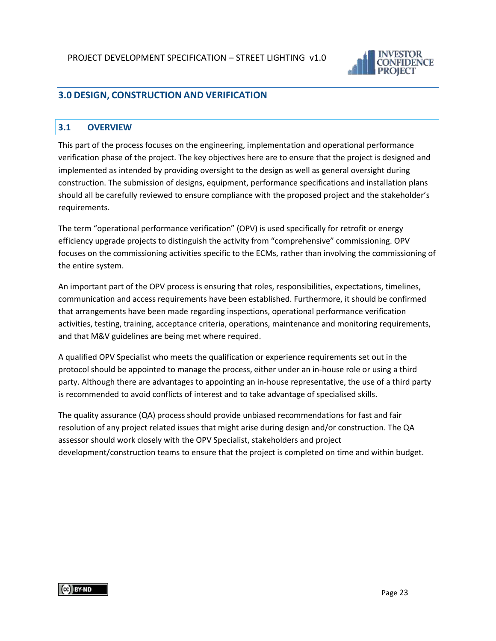

# <span id="page-22-0"></span>**3.0 DESIGN, CONSTRUCTION AND VERIFICATION**

#### <span id="page-22-1"></span>**3.1 OVERVIEW**

This part of the process focuses on the engineering, implementation and operational performance verification phase of the project. The key objectives here are to ensure that the project is designed and implemented as intended by providing oversight to the design as well as general oversight during construction. The submission of designs, equipment, performance specifications and installation plans should all be carefully reviewed to ensure compliance with the proposed project and the stakeholder's requirements.

The term "operational performance verification" (OPV) is used specifically for retrofit or energy efficiency upgrade projects to distinguish the activity from "comprehensive" commissioning. OPV focuses on the commissioning activities specific to the ECMs, rather than involving the commissioning of the entire system.

An important part of the OPV process is ensuring that roles, responsibilities, expectations, timelines, communication and access requirements have been established. Furthermore, it should be confirmed that arrangements have been made regarding inspections, operational performance verification activities, testing, training, acceptance criteria, operations, maintenance and monitoring requirements, and that M&V guidelines are being met where required.

A qualified OPV Specialist who meets the qualification or experience requirements set out in the protocol should be appointed to manage the process, either under an in-house role or using a third party. Although there are advantages to appointing an in-house representative, the use of a third party is recommended to avoid conflicts of interest and to take advantage of specialised skills.

The quality assurance (QA) process should provide unbiased recommendations for fast and fair resolution of any project related issues that might arise during design and/or construction. The QA assessor should work closely with the OPV Specialist, stakeholders and project development/construction teams to ensure that the project is completed on time and within budget.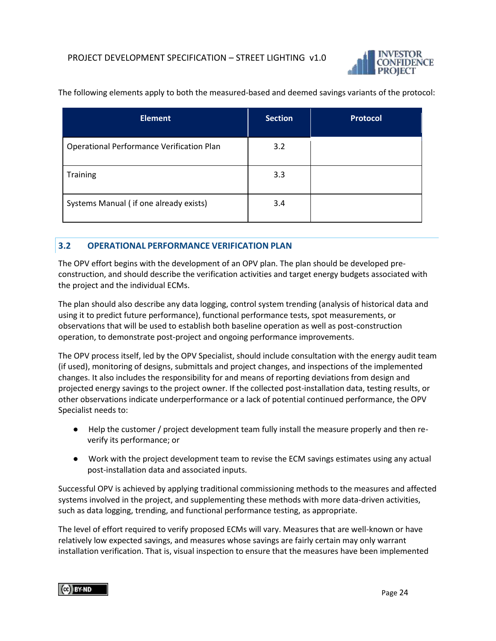

| <b>Element</b>                            | <b>Section</b> | <b>Protocol</b> |
|-------------------------------------------|----------------|-----------------|
| Operational Performance Verification Plan | 3.2            |                 |
| Training                                  | 3.3            |                 |
| Systems Manual (if one already exists)    | 3.4            |                 |

The following elements apply to both the measured-based and deemed savings variants of the protocol:

#### <span id="page-23-0"></span>**3.2 OPERATIONAL PERFORMANCE VERIFICATION PLAN**

The OPV effort begins with the development of an OPV plan. The plan should be developed preconstruction, and should describe the verification activities and target energy budgets associated with the project and the individual ECMs.

The plan should also describe any data logging, control system trending (analysis of historical data and using it to predict future performance), functional performance tests, spot measurements, or observations that will be used to establish both baseline operation as well as post-construction operation, to demonstrate post-project and ongoing performance improvements.

The OPV process itself, led by the OPV Specialist, should include consultation with the energy audit team (if used), monitoring of designs, submittals and project changes, and inspections of the implemented changes. It also includes the responsibility for and means of reporting deviations from design and projected energy savings to the project owner. If the collected post-installation data, testing results, or other observations indicate underperformance or a lack of potential continued performance, the OPV Specialist needs to:

- Help the customer / project development team fully install the measure properly and then reverify its performance; or
- Work with the project development team to revise the ECM savings estimates using any actual post-installation data and associated inputs.

Successful OPV is achieved by applying traditional commissioning methods to the measures and affected systems involved in the project, and supplementing these methods with more data-driven activities, such as data logging, trending, and functional performance testing, as appropriate.

The level of effort required to verify proposed ECMs will vary. Measures that are well-known or have relatively low expected savings, and measures whose savings are fairly certain may only warrant installation verification. That is, visual inspection to ensure that the measures have been implemented

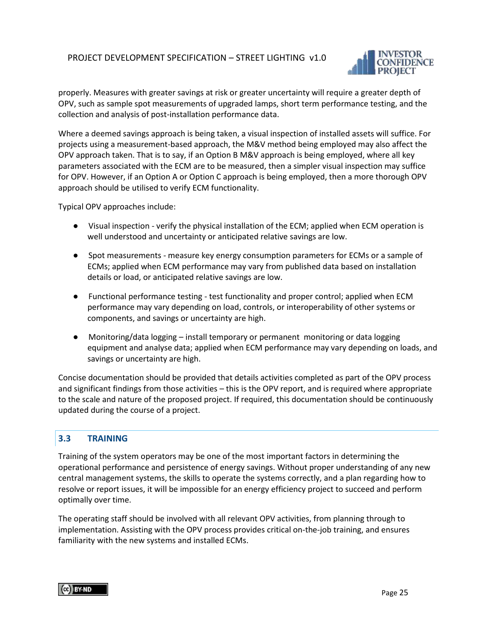

properly. Measures with greater savings at risk or greater uncertainty will require a greater depth of OPV, such as sample spot measurements of upgraded lamps, short term performance testing, and the collection and analysis of post-installation performance data.

Where a deemed savings approach is being taken, a visual inspection of installed assets will suffice. For projects using a measurement-based approach, the M&V method being employed may also affect the OPV approach taken. That is to say, if an Option B M&V approach is being employed, where all key parameters associated with the ECM are to be measured, then a simpler visual inspection may suffice for OPV. However, if an Option A or Option C approach is being employed, then a more thorough OPV approach should be utilised to verify ECM functionality.

Typical OPV approaches include:

- Visual inspection verify the physical installation of the ECM; applied when ECM operation is well understood and uncertainty or anticipated relative savings are low.
- Spot measurements measure key energy consumption parameters for ECMs or a sample of ECMs; applied when ECM performance may vary from published data based on installation details or load, or anticipated relative savings are low.
- Functional performance testing test functionality and proper control; applied when ECM performance may vary depending on load, controls, or interoperability of other systems or components, and savings or uncertainty are high.
- Monitoring/data logging install temporary or permanent monitoring or data logging equipment and analyse data; applied when ECM performance may vary depending on loads, and savings or uncertainty are high.

Concise documentation should be provided that details activities completed as part of the OPV process and significant findings from those activities – this is the OPV report, and is required where appropriate to the scale and nature of the proposed project. If required, this documentation should be continuously updated during the course of a project.

#### <span id="page-24-0"></span>**3.3 TRAINING**

Training of the system operators may be one of the most important factors in determining the operational performance and persistence of energy savings. Without proper understanding of any new central management systems, the skills to operate the systems correctly, and a plan regarding how to resolve or report issues, it will be impossible for an energy efficiency project to succeed and perform optimally over time.

The operating staff should be involved with all relevant OPV activities, from planning through to implementation. Assisting with the OPV process provides critical on-the-job training, and ensures familiarity with the new systems and installed ECMs.

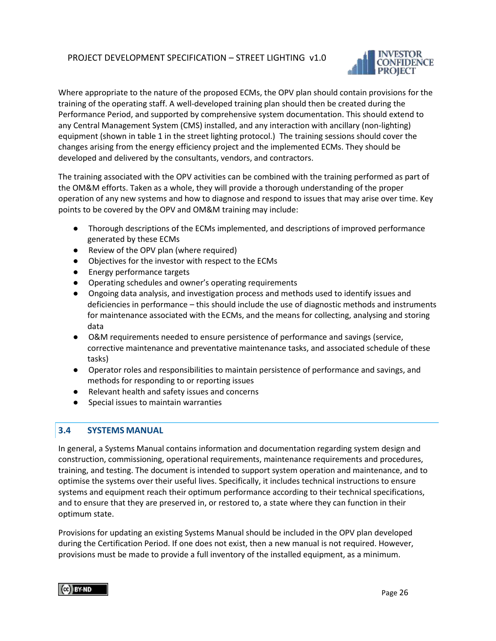

Where appropriate to the nature of the proposed ECMs, the OPV plan should contain provisions for the training of the operating staff. A well-developed training plan should then be created during the Performance Period, and supported by comprehensive system documentation. This should extend to any Central Management System (CMS) installed, and any interaction with ancillary (non-lighting) equipment (shown in table 1 in the street lighting protocol.) The training sessions should cover the changes arising from the energy efficiency project and the implemented ECMs. They should be developed and delivered by the consultants, vendors, and contractors.

The training associated with the OPV activities can be combined with the training performed as part of the OM&M efforts. Taken as a whole, they will provide a thorough understanding of the proper operation of any new systems and how to diagnose and respond to issues that may arise over time. Key points to be covered by the OPV and OM&M training may include:

- Thorough descriptions of the ECMs implemented, and descriptions of improved performance generated by these ECMs
- Review of the OPV plan (where required)
- Objectives for the investor with respect to the ECMs
- Energy performance targets
- Operating schedules and owner's operating requirements
- Ongoing data analysis, and investigation process and methods used to identify issues and deficiencies in performance – this should include the use of diagnostic methods and instruments for maintenance associated with the ECMs, and the means for collecting, analysing and storing data
- O&M requirements needed to ensure persistence of performance and savings (service, corrective maintenance and preventative maintenance tasks, and associated schedule of these tasks)
- Operator roles and responsibilities to maintain persistence of performance and savings, and methods for responding to or reporting issues
- Relevant health and safety issues and concerns
- Special issues to maintain warranties

#### <span id="page-25-0"></span>**3.4 SYSTEMS MANUAL**

In general, a Systems Manual contains information and documentation regarding system design and construction, commissioning, operational requirements, maintenance requirements and procedures, training, and testing. The document is intended to support system operation and maintenance, and to optimise the systems over their useful lives. Specifically, it includes technical instructions to ensure systems and equipment reach their optimum performance according to their technical specifications, and to ensure that they are preserved in, or restored to, a state where they can function in their optimum state.

Provisions for updating an existing Systems Manual should be included in the OPV plan developed during the Certification Period. If one does not exist, then a new manual is not required. However, provisions must be made to provide a full inventory of the installed equipment, as a minimum.

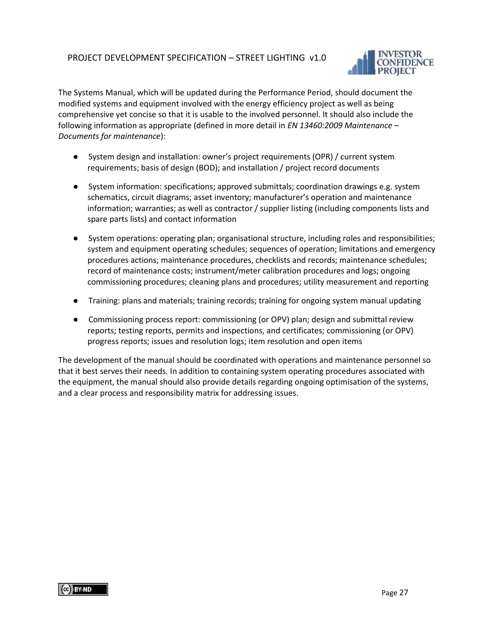

The Systems Manual, which will be updated during the Performance Period, should document the modified systems and equipment involved with the energy efficiency project as well as being comprehensive yet concise so that it is usable to the involved personnel. It should also include the following information as appropriate (defined in more detail in *EN 13460:2009 Maintenance – Documents for maintenance*):

- System design and installation: owner's project requirements (OPR) / current system requirements; basis of design (BOD); and installation / project record documents
- System information: specifications; approved submittals; coordination drawings e.g. system schematics, circuit diagrams; asset inventory; manufacturer's operation and maintenance information; warranties; as well as contractor / supplier listing (including components lists and spare parts lists) and contact information
- System operations: operating plan; organisational structure, including roles and responsibilities; system and equipment operating schedules; sequences of operation; limitations and emergency procedures actions; maintenance procedures, checklists and records; maintenance schedules; record of maintenance costs; instrument/meter calibration procedures and logs; ongoing commissioning procedures; cleaning plans and procedures; utility measurement and reporting
- Training: plans and materials; training records; training for ongoing system manual updating
- Commissioning process report: commissioning (or OPV) plan; design and submittal review reports; testing reports, permits and inspections, and certificates; commissioning (or OPV) progress reports; issues and resolution logs; item resolution and open items

The development of the manual should be coordinated with operations and maintenance personnel so that it best serves their needs. In addition to containing system operating procedures associated with the equipment, the manual should also provide details regarding ongoing optimisation of the systems, and a clear process and responsibility matrix for addressing issues.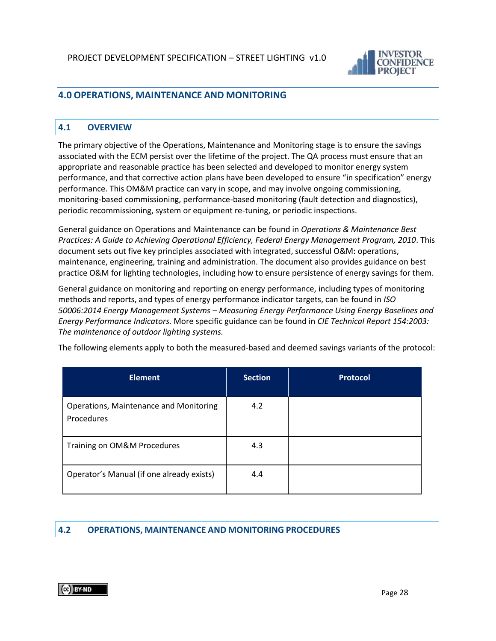

# <span id="page-27-0"></span>**4.0 OPERATIONS, MAINTENANCE AND MONITORING**

#### <span id="page-27-1"></span>**4.1 OVERVIEW**

The primary objective of the Operations, Maintenance and Monitoring stage is to ensure the savings associated with the ECM persist over the lifetime of the project. The QA process must ensure that an appropriate and reasonable practice has been selected and developed to monitor energy system performance, and that corrective action plans have been developed to ensure "in specification" energy performance. This OM&M practice can vary in scope, and may involve ongoing commissioning, monitoring-based commissioning, performance-based monitoring (fault detection and diagnostics), periodic recommissioning, system or equipment re-tuning, or periodic inspections.

General guidance on Operations and Maintenance can be found in *Operations & Maintenance Best Practices: A Guide to Achieving Operational Efficiency, Federal Energy Management Program, 2010*. This document sets out five key principles associated with integrated, successful O&M: operations, maintenance, engineering, training and administration. The document also provides guidance on best practice O&M for lighting technologies, including how to ensure persistence of energy savings for them.

General guidance on monitoring and reporting on energy performance, including types of monitoring methods and reports, and types of energy performance indicator targets, can be found in *ISO 50006:2014 Energy Management Systems – Measuring Energy Performance Using Energy Baselines and Energy Performance Indicators.* More specific guidance can be found in *CIE Technical Report 154:2003: The maintenance of outdoor lighting systems.*

The following elements apply to both the measured-based and deemed savings variants of the protocol:

| <b>Element</b>                                              | <b>Section</b> | Protocol |
|-------------------------------------------------------------|----------------|----------|
| <b>Operations, Maintenance and Monitoring</b><br>Procedures | 4.2            |          |
| Training on OM&M Procedures                                 | 4.3            |          |
| Operator's Manual (if one already exists)                   | 4.4            |          |

#### <span id="page-27-2"></span>**4.2 OPERATIONS, MAINTENANCE AND MONITORING PROCEDURES**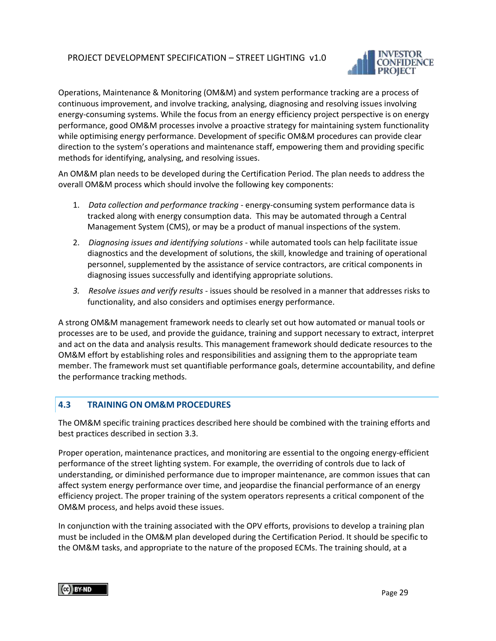

Operations, Maintenance & Monitoring (OM&M) and system performance tracking are a process of continuous improvement, and involve tracking, analysing, diagnosing and resolving issues involving energy-consuming systems. While the focus from an energy efficiency project perspective is on energy performance, good OM&M processes involve a proactive strategy for maintaining system functionality while optimising energy performance. Development of specific OM&M procedures can provide clear direction to the system's operations and maintenance staff, empowering them and providing specific methods for identifying, analysing, and resolving issues.

An OM&M plan needs to be developed during the Certification Period. The plan needs to address the overall OM&M process which should involve the following key components:

- 1. *Data collection and performance tracking* energy-consuming system performance data is tracked along with energy consumption data. This may be automated through a Central Management System (CMS), or may be a product of manual inspections of the system.
- 2. *Diagnosing issues and identifying solutions* while automated tools can help facilitate issue diagnostics and the development of solutions, the skill, knowledge and training of operational personnel, supplemented by the assistance of service contractors, are critical components in diagnosing issues successfully and identifying appropriate solutions.
- *3. Resolve issues and verify results* issues should be resolved in a manner that addresses risks to functionality, and also considers and optimises energy performance.

A strong OM&M management framework needs to clearly set out how automated or manual tools or processes are to be used, and provide the guidance, training and support necessary to extract, interpret and act on the data and analysis results. This management framework should dedicate resources to the OM&M effort by establishing roles and responsibilities and assigning them to the appropriate team member. The framework must set quantifiable performance goals, determine accountability, and define the performance tracking methods.

#### <span id="page-28-0"></span>**4.3 TRAINING ON OM&M PROCEDURES**

The OM&M specific training practices described here should be combined with the training efforts and best practices described in section 3.3.

Proper operation, maintenance practices, and monitoring are essential to the ongoing energy-efficient performance of the street lighting system. For example, the overriding of controls due to lack of understanding, or diminished performance due to improper maintenance, are common issues that can affect system energy performance over time, and jeopardise the financial performance of an energy efficiency project. The proper training of the system operators represents a critical component of the OM&M process, and helps avoid these issues.

In conjunction with the training associated with the OPV efforts, provisions to develop a training plan must be included in the OM&M plan developed during the Certification Period. It should be specific to the OM&M tasks, and appropriate to the nature of the proposed ECMs. The training should, at a

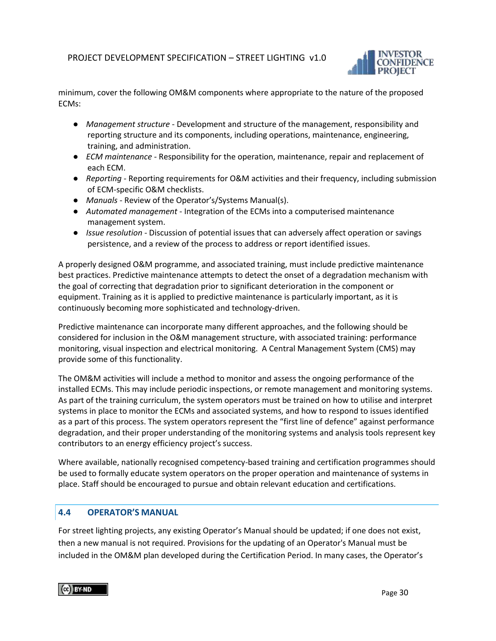

minimum, cover the following OM&M components where appropriate to the nature of the proposed ECMs:

- *Management structure* Development and structure of the management, responsibility and reporting structure and its components, including operations, maintenance, engineering, training, and administration.
- *ECM maintenance* Responsibility for the operation, maintenance, repair and replacement of each ECM.
- *Reporting* Reporting requirements for O&M activities and their frequency, including submission of ECM-specific O&M checklists.
- *Manuals*  Review of the Operator's/Systems Manual(s).
- *Automated management* Integration of the ECMs into a computerised maintenance management system.
- *Issue resolution* Discussion of potential issues that can adversely affect operation or savings persistence, and a review of the process to address or report identified issues.

A properly designed O&M programme, and associated training, must include predictive maintenance best practices. Predictive maintenance attempts to detect the onset of a degradation mechanism with the goal of correcting that degradation prior to significant deterioration in the component or equipment. Training as it is applied to predictive maintenance is particularly important, as it is continuously becoming more sophisticated and technology-driven.

Predictive maintenance can incorporate many different approaches, and the following should be considered for inclusion in the O&M management structure, with associated training: performance monitoring, visual inspection and electrical monitoring. A Central Management System (CMS) may provide some of this functionality.

The OM&M activities will include a method to monitor and assess the ongoing performance of the installed ECMs. This may include periodic inspections, or remote management and monitoring systems. As part of the training curriculum, the system operators must be trained on how to utilise and interpret systems in place to monitor the ECMs and associated systems, and how to respond to issues identified as a part of this process. The system operators represent the "first line of defence" against performance degradation, and their proper understanding of the monitoring systems and analysis tools represent key contributors to an energy efficiency project's success.

Where available, nationally recognised competency-based training and certification programmes should be used to formally educate system operators on the proper operation and maintenance of systems in place. Staff should be encouraged to pursue and obtain relevant education and certifications.

#### <span id="page-29-0"></span>**4.4 OPERATOR'S MANUAL**

For street lighting projects, any existing Operator's Manual should be updated; if one does not exist, then a new manual is not required. Provisions for the updating of an Operator's Manual must be included in the OM&M plan developed during the Certification Period. In many cases, the Operator's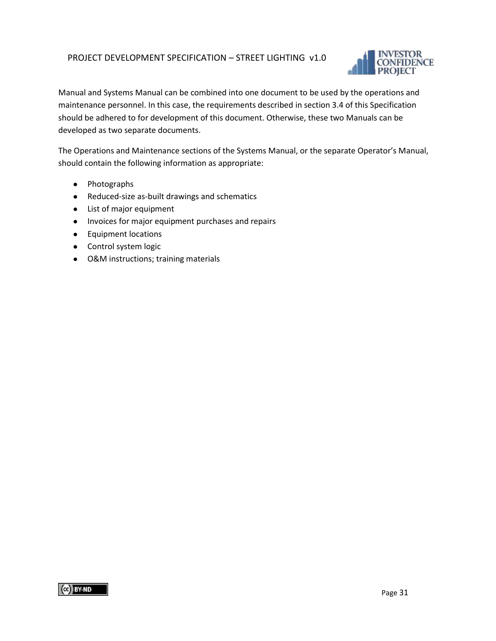

Manual and Systems Manual can be combined into one document to be used by the operations and maintenance personnel. In this case, the requirements described in section 3.4 of this Specification should be adhered to for development of this document. Otherwise, these two Manuals can be developed as two separate documents.

The Operations and Maintenance sections of the Systems Manual, or the separate Operator's Manual, should contain the following information as appropriate:

- Photographs
- Reduced-size as-built drawings and schematics
- List of major equipment
- Invoices for major equipment purchases and repairs
- Equipment locations
- Control system logic
- O&M instructions; training materials

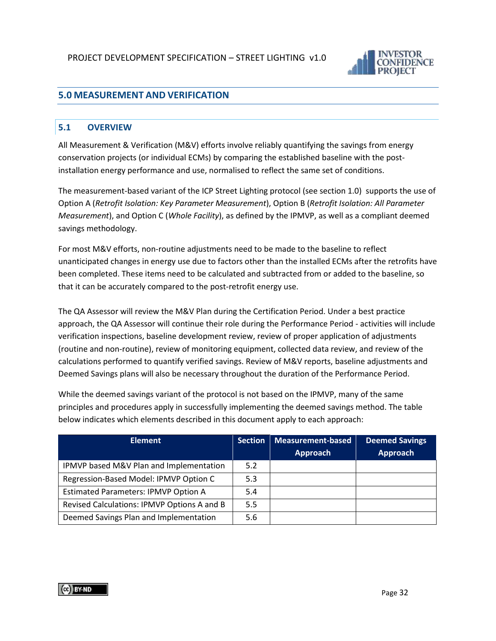

# <span id="page-31-0"></span>**5.0 MEASUREMENT AND VERIFICATION**

#### <span id="page-31-1"></span>**5.1 OVERVIEW**

All Measurement & Verification (M&V) efforts involve reliably quantifying the savings from energy conservation projects (or individual ECMs) by comparing the established baseline with the postinstallation energy performance and use, normalised to reflect the same set of conditions.

The measurement-based variant of the ICP Street Lighting protocol (see section 1.0) supports the use of Option A (*Retrofit Isolation: Key Parameter Measurement*), Option B (*Retrofit Isolation: All Parameter Measurement*), and Option C (*Whole Facility*), as defined by the IPMVP, as well as a compliant deemed savings methodology.

For most M&V efforts, non-routine adjustments need to be made to the baseline to reflect unanticipated changes in energy use due to factors other than the installed ECMs after the retrofits have been completed. These items need to be calculated and subtracted from or added to the baseline, so that it can be accurately compared to the post-retrofit energy use.

The QA Assessor will review the M&V Plan during the Certification Period. Under a best practice approach, the QA Assessor will continue their role during the Performance Period - activities will include verification inspections, baseline development review, review of proper application of adjustments (routine and non-routine), review of monitoring equipment, collected data review, and review of the calculations performed to quantify verified savings. Review of M&V reports, baseline adjustments and Deemed Savings plans will also be necessary throughout the duration of the Performance Period.

While the deemed savings variant of the protocol is not based on the IPMVP, many of the same principles and procedures apply in successfully implementing the deemed savings method. The table below indicates which elements described in this document apply to each approach:

| <b>Element</b>                              | <b>Section</b> | Measurement-based | <b>Deemed Savings</b> |
|---------------------------------------------|----------------|-------------------|-----------------------|
|                                             |                | <b>Approach</b>   | Approach              |
| IPMVP based M&V Plan and Implementation     | 5.2            |                   |                       |
| Regression-Based Model: IPMVP Option C      | 5.3            |                   |                       |
| <b>Estimated Parameters: IPMVP Option A</b> | 5.4            |                   |                       |
| Revised Calculations: IPMVP Options A and B | 5.5            |                   |                       |
| Deemed Savings Plan and Implementation      | 5.6            |                   |                       |

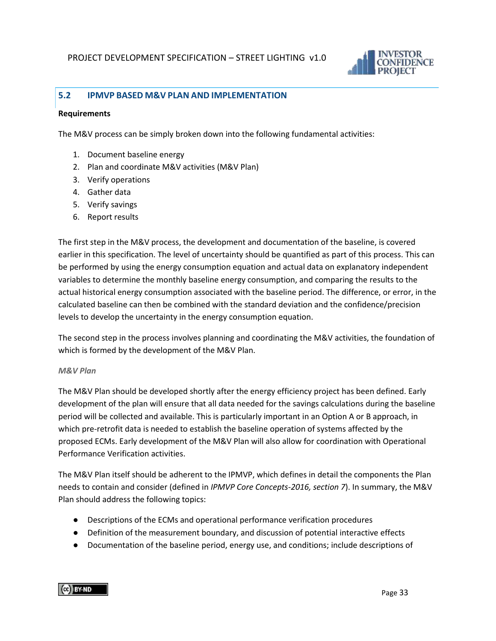

#### <span id="page-32-0"></span>**5.2 IPMVP BASED M&V PLAN AND IMPLEMENTATION**

#### <span id="page-32-1"></span>**Requirements**

The M&V process can be simply broken down into the following fundamental activities:

- 1. Document baseline energy
- 2. Plan and coordinate M&V activities (M&V Plan)
- 3. Verify operations
- 4. Gather data
- 5. Verify savings
- 6. Report results

The first step in the M&V process, the development and documentation of the baseline, is covered earlier in this specification. The level of uncertainty should be quantified as part of this process. This can be performed by using the energy consumption equation and actual data on explanatory independent variables to determine the monthly baseline energy consumption, and comparing the results to the actual historical energy consumption associated with the baseline period. The difference, or error, in the calculated baseline can then be combined with the standard deviation and the confidence/precision levels to develop the uncertainty in the energy consumption equation.

The second step in the process involves planning and coordinating the M&V activities, the foundation of which is formed by the development of the M&V Plan.

#### <span id="page-32-2"></span>*M&V Plan*

The M&V Plan should be developed shortly after the energy efficiency project has been defined. Early development of the plan will ensure that all data needed for the savings calculations during the baseline period will be collected and available. This is particularly important in an Option A or B approach, in which pre-retrofit data is needed to establish the baseline operation of systems affected by the proposed ECMs. Early development of the M&V Plan will also allow for coordination with Operational Performance Verification activities.

The M&V Plan itself should be adherent to the IPMVP, which defines in detail the components the Plan needs to contain and consider (defined in *IPMVP Core Concepts-2016, section 7*). In summary, the M&V Plan should address the following topics:

- Descriptions of the ECMs and operational performance verification procedures
- Definition of the measurement boundary, and discussion of potential interactive effects
- Documentation of the baseline period, energy use, and conditions; include descriptions of

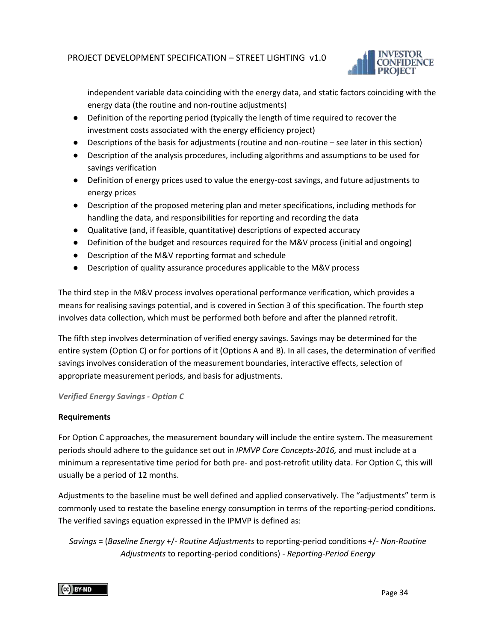

independent variable data coinciding with the energy data, and static factors coinciding with the energy data (the routine and non-routine adjustments)

- Definition of the reporting period (typically the length of time required to recover the investment costs associated with the energy efficiency project)
- Descriptions of the basis for adjustments (routine and non-routine see later in this section)
- Description of the analysis procedures, including algorithms and assumptions to be used for savings verification
- Definition of energy prices used to value the energy-cost savings, and future adjustments to energy prices
- Description of the proposed metering plan and meter specifications, including methods for handling the data, and responsibilities for reporting and recording the data
- Qualitative (and, if feasible, quantitative) descriptions of expected accuracy
- Definition of the budget and resources required for the M&V process (initial and ongoing)
- Description of the M&V reporting format and schedule
- Description of quality assurance procedures applicable to the M&V process

The third step in the M&V process involves operational performance verification, which provides a means for realising savings potential, and is covered in Section 3 of this specification. The fourth step involves data collection, which must be performed both before and after the planned retrofit.

The fifth step involves determination of verified energy savings. Savings may be determined for the entire system (Option C) or for portions of it (Options A and B). In all cases, the determination of verified savings involves consideration of the measurement boundaries, interactive effects, selection of appropriate measurement periods, and basis for adjustments.

*Verified Energy Savings - Option C*

#### <span id="page-33-0"></span>**Requirements**

For Option C approaches, the measurement boundary will include the entire system. The measurement periods should adhere to the guidance set out in *IPMVP Core Concepts-2016,* and must include at a minimum a representative time period for both pre- and post-retrofit utility data. For Option C, this will usually be a period of 12 months.

Adjustments to the baseline must be well defined and applied conservatively. The "adjustments" term is commonly used to restate the baseline energy consumption in terms of the reporting-period conditions. The verified savings equation expressed in the IPMVP is defined as:

*Savings* = (*Baseline Energy* +/- *Routine Adjustments* to reporting-period conditions +/- *Non-Routine Adjustments* to reporting-period conditions) - *Reporting-Period Energy*

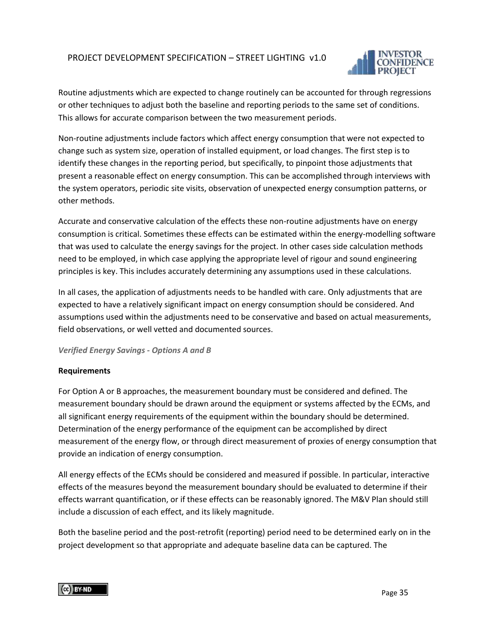

Routine adjustments which are expected to change routinely can be accounted for through regressions or other techniques to adjust both the baseline and reporting periods to the same set of conditions. This allows for accurate comparison between the two measurement periods.

Non-routine adjustments include factors which affect energy consumption that were not expected to change such as system size, operation of installed equipment, or load changes. The first step is to identify these changes in the reporting period, but specifically, to pinpoint those adjustments that present a reasonable effect on energy consumption. This can be accomplished through interviews with the system operators, periodic site visits, observation of unexpected energy consumption patterns, or other methods.

Accurate and conservative calculation of the effects these non-routine adjustments have on energy consumption is critical. Sometimes these effects can be estimated within the energy-modelling software that was used to calculate the energy savings for the project. In other cases side calculation methods need to be employed, in which case applying the appropriate level of rigour and sound engineering principles is key. This includes accurately determining any assumptions used in these calculations.

In all cases, the application of adjustments needs to be handled with care. Only adjustments that are expected to have a relatively significant impact on energy consumption should be considered. And assumptions used within the adjustments need to be conservative and based on actual measurements, field observations, or well vetted and documented sources.

#### *Verified Energy Savings - Options A and B*

#### <span id="page-34-0"></span>**Requirements**

For Option A or B approaches, the measurement boundary must be considered and defined. The measurement boundary should be drawn around the equipment or systems affected by the ECMs, and all significant energy requirements of the equipment within the boundary should be determined. Determination of the energy performance of the equipment can be accomplished by direct measurement of the energy flow, or through direct measurement of proxies of energy consumption that provide an indication of energy consumption.

All energy effects of the ECMs should be considered and measured if possible. In particular, interactive effects of the measures beyond the measurement boundary should be evaluated to determine if their effects warrant quantification, or if these effects can be reasonably ignored. The M&V Plan should still include a discussion of each effect, and its likely magnitude.

Both the baseline period and the post-retrofit (reporting) period need to be determined early on in the project development so that appropriate and adequate baseline data can be captured. The

(CC) BY ND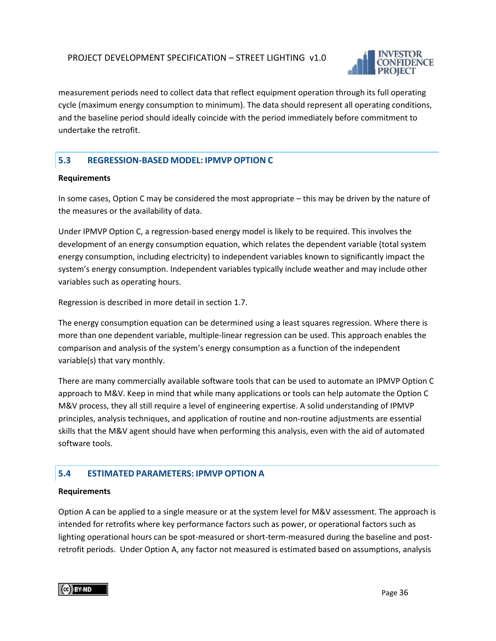

measurement periods need to collect data that reflect equipment operation through its full operating cycle (maximum energy consumption to minimum). The data should represent all operating conditions, and the baseline period should ideally coincide with the period immediately before commitment to undertake the retrofit.

#### <span id="page-35-0"></span>**5.3 REGRESSION-BASED MODEL: IPMVP OPTION C**

#### <span id="page-35-1"></span>**Requirements**

In some cases, Option C may be considered the most appropriate – this may be driven by the nature of the measures or the availability of data.

Under IPMVP Option C, a regression-based energy model is likely to be required. This involves the development of an energy consumption equation, which relates the dependent variable (total system energy consumption, including electricity) to independent variables known to significantly impact the system's energy consumption. Independent variables typically include weather and may include other variables such as operating hours.

Regression is described in more detail in section 1.7.

The energy consumption equation can be determined using a least squares regression. Where there is more than one dependent variable, multiple-linear regression can be used. This approach enables the comparison and analysis of the system's energy consumption as a function of the independent variable(s) that vary monthly.

There are many commercially available software tools that can be used to automate an IPMVP Option C approach to M&V. Keep in mind that while many applications or tools can help automate the Option C M&V process, they all still require a level of engineering expertise. A solid understanding of IPMVP principles, analysis techniques, and application of routine and non-routine adjustments are essential skills that the M&V agent should have when performing this analysis, even with the aid of automated software tools.

#### <span id="page-35-2"></span>**5.4 ESTIMATED PARAMETERS: IPMVP OPTION A**

#### <span id="page-35-3"></span>**Requirements**

Option A can be applied to a single measure or at the system level for M&V assessment. The approach is intended for retrofits where key performance factors such as power, or operational factors such as lighting operational hours can be spot-measured or short-term-measured during the baseline and postretrofit periods. Under Option A, any factor not measured is estimated based on assumptions, analysis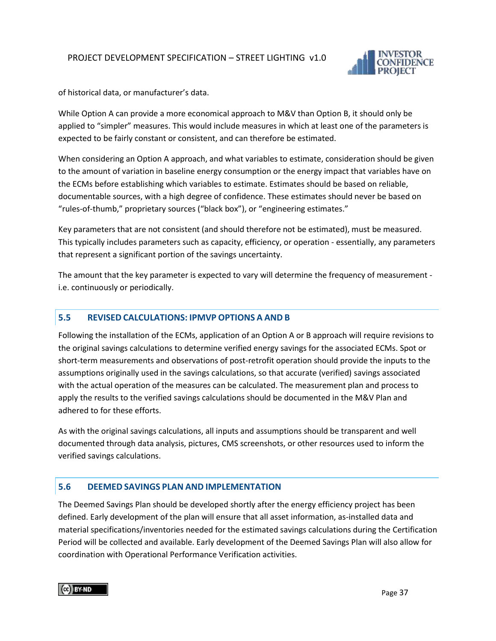

of historical data, or manufacturer's data.

While Option A can provide a more economical approach to M&V than Option B, it should only be applied to "simpler" measures. This would include measures in which at least one of the parameters is expected to be fairly constant or consistent, and can therefore be estimated.

When considering an Option A approach, and what variables to estimate, consideration should be given to the amount of variation in baseline energy consumption or the energy impact that variables have on the ECMs before establishing which variables to estimate. Estimates should be based on reliable, documentable sources, with a high degree of confidence. These estimates should never be based on "rules-of-thumb," proprietary sources ("black box"), or "engineering estimates."

Key parameters that are not consistent (and should therefore not be estimated), must be measured. This typically includes parameters such as capacity, efficiency, or operation - essentially, any parameters that represent a significant portion of the savings uncertainty.

The amount that the key parameter is expected to vary will determine the frequency of measurement i.e. continuously or periodically.

#### <span id="page-36-0"></span>**5.5 REVISED CALCULATIONS: IPMVP OPTIONS A AND B**

Following the installation of the ECMs, application of an Option A or B approach will require revisions to the original savings calculations to determine verified energy savings for the associated ECMs. Spot or short-term measurements and observations of post-retrofit operation should provide the inputs to the assumptions originally used in the savings calculations, so that accurate (verified) savings associated with the actual operation of the measures can be calculated. The measurement plan and process to apply the results to the verified savings calculations should be documented in the M&V Plan and adhered to for these efforts.

As with the original savings calculations, all inputs and assumptions should be transparent and well documented through data analysis, pictures, CMS screenshots, or other resources used to inform the verified savings calculations.

#### <span id="page-36-1"></span>**5.6 DEEMED SAVINGS PLAN AND IMPLEMENTATION**

The Deemed Savings Plan should be developed shortly after the energy efficiency project has been defined. Early development of the plan will ensure that all asset information, as-installed data and material specifications/inventories needed for the estimated savings calculations during the Certification Period will be collected and available. Early development of the Deemed Savings Plan will also allow for coordination with Operational Performance Verification activities.

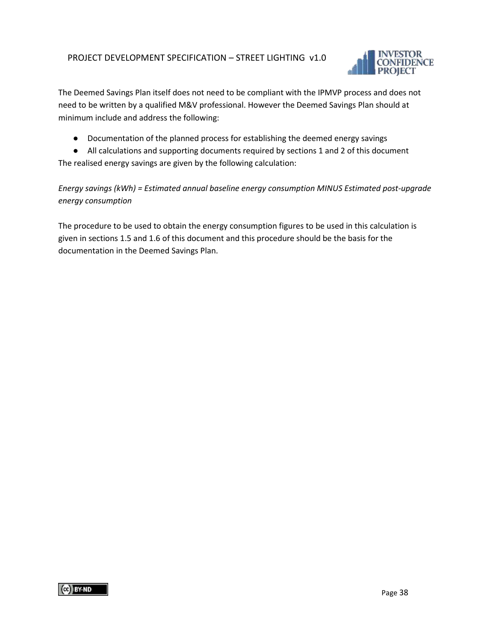

The Deemed Savings Plan itself does not need to be compliant with the IPMVP process and does not need to be written by a qualified M&V professional. However the Deemed Savings Plan should at minimum include and address the following:

● Documentation of the planned process for establishing the deemed energy savings

● All calculations and supporting documents required by sections 1 and 2 of this document The realised energy savings are given by the following calculation:

*Energy savings (kWh) = Estimated annual baseline energy consumption MINUS Estimated post-upgrade energy consumption*

The procedure to be used to obtain the energy consumption figures to be used in this calculation is given in sections 1.5 and 1.6 of this document and this procedure should be the basis for the documentation in the Deemed Savings Plan.

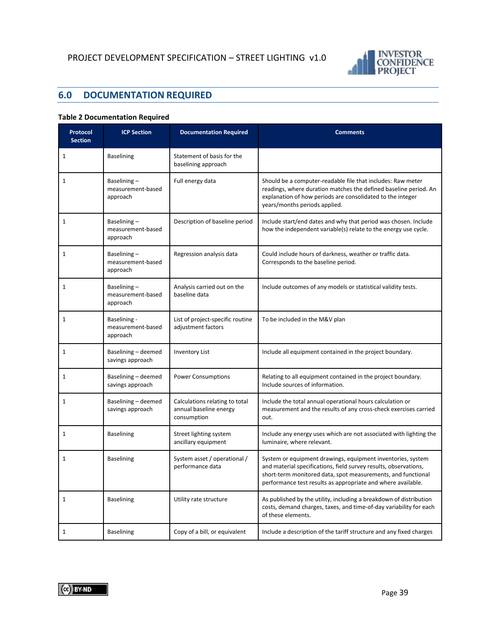

# <span id="page-38-0"></span>**6.0 DOCUMENTATION REQUIRED**

#### **Table 2 Documentation Required**

| Protocol<br><b>Section</b> | <b>ICP Section</b>                            | <b>Documentation Required</b>                                           | <b>Comments</b>                                                                                                                                                                                                                                                 |
|----------------------------|-----------------------------------------------|-------------------------------------------------------------------------|-----------------------------------------------------------------------------------------------------------------------------------------------------------------------------------------------------------------------------------------------------------------|
| 1                          | <b>Baselining</b>                             | Statement of basis for the<br>baselining approach                       |                                                                                                                                                                                                                                                                 |
| $\mathbf{1}$               | Baselining-<br>measurement-based<br>approach  | Full energy data                                                        | Should be a computer-readable file that includes: Raw meter<br>readings, where duration matches the defined baseline period. An<br>explanation of how periods are consolidated to the integer<br>years/months periods applied.                                  |
| $\mathbf{1}$               | Baselining-<br>measurement-based<br>approach  | Description of baseline period                                          | Include start/end dates and why that period was chosen. Include<br>how the independent variable(s) relate to the energy use cycle.                                                                                                                              |
| $\mathbf{1}$               | Baselining-<br>measurement-based<br>approach  | Regression analysis data                                                | Could include hours of darkness, weather or traffic data.<br>Corresponds to the baseline period.                                                                                                                                                                |
| $\mathbf{1}$               | Baselining-<br>measurement-based<br>approach  | Analysis carried out on the<br>baseline data                            | Include outcomes of any models or statistical validity tests.                                                                                                                                                                                                   |
| $\mathbf{1}$               | Baselining -<br>measurement-based<br>approach | List of project-specific routine<br>adjustment factors                  | To be included in the M&V plan                                                                                                                                                                                                                                  |
| $\mathbf{1}$               | Baselining - deemed<br>savings approach       | <b>Inventory List</b>                                                   | Include all equipment contained in the project boundary.                                                                                                                                                                                                        |
| $\mathbf{1}$               | Baselining - deemed<br>savings approach       | <b>Power Consumptions</b>                                               | Relating to all equipment contained in the project boundary.<br>Include sources of information.                                                                                                                                                                 |
| 1                          | Baselining - deemed<br>savings approach       | Calculations relating to total<br>annual baseline energy<br>consumption | Include the total annual operational hours calculation or<br>measurement and the results of any cross-check exercises carried<br>out.                                                                                                                           |
| 1                          | <b>Baselining</b>                             | Street lighting system<br>ancillary equipment                           | Include any energy uses which are not associated with lighting the<br>luminaire, where relevant.                                                                                                                                                                |
| $\mathbf{1}$               | <b>Baselining</b>                             | System asset / operational /<br>performance data                        | System or equipment drawings, equipment inventories, system<br>and material specifications, field survey results, observations,<br>short-term monitored data, spot measurements, and functional<br>performance test results as appropriate and where available. |
| $\mathbf{1}$               | <b>Baselining</b>                             | Utility rate structure                                                  | As published by the utility, including a breakdown of distribution<br>costs, demand charges, taxes, and time-of-day variability for each<br>of these elements.                                                                                                  |
| $1\,$                      | <b>Baselining</b>                             | Copy of a bill, or equivalent                                           | Include a description of the tariff structure and any fixed charges                                                                                                                                                                                             |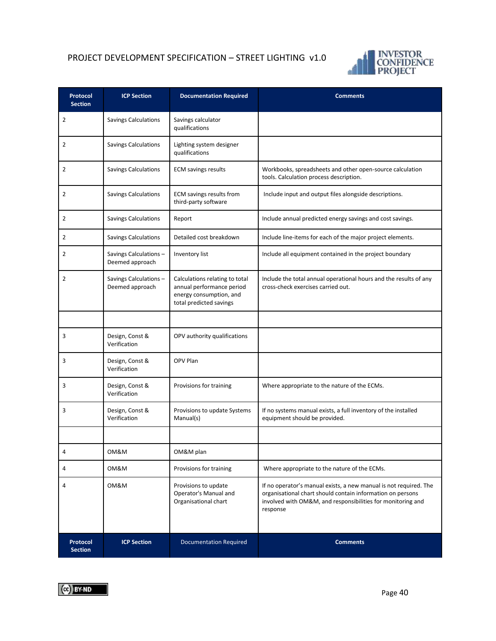

| Protocol<br><b>Section</b> | <b>ICP Section</b>                       | <b>Documentation Required</b>                                                                                     | <b>Comments</b>                                                                                                                                                                                            |
|----------------------------|------------------------------------------|-------------------------------------------------------------------------------------------------------------------|------------------------------------------------------------------------------------------------------------------------------------------------------------------------------------------------------------|
| $\overline{2}$             | <b>Savings Calculations</b>              | Savings calculator<br>qualifications                                                                              |                                                                                                                                                                                                            |
| $\overline{2}$             | <b>Savings Calculations</b>              | Lighting system designer<br>qualifications                                                                        |                                                                                                                                                                                                            |
| $\overline{2}$             | <b>Savings Calculations</b>              | <b>ECM savings results</b>                                                                                        | Workbooks, spreadsheets and other open-source calculation<br>tools. Calculation process description.                                                                                                       |
| 2                          | <b>Savings Calculations</b>              | ECM savings results from<br>third-party software                                                                  | Include input and output files alongside descriptions.                                                                                                                                                     |
| 2                          | <b>Savings Calculations</b>              | Report                                                                                                            | Include annual predicted energy savings and cost savings.                                                                                                                                                  |
| 2                          | <b>Savings Calculations</b>              | Detailed cost breakdown                                                                                           | Include line-items for each of the major project elements.                                                                                                                                                 |
| $\overline{2}$             | Savings Calculations-<br>Deemed approach | Inventory list                                                                                                    | Include all equipment contained in the project boundary                                                                                                                                                    |
| $\overline{2}$             | Savings Calculations-<br>Deemed approach | Calculations relating to total<br>annual performance period<br>energy consumption, and<br>total predicted savings | Include the total annual operational hours and the results of any<br>cross-check exercises carried out.                                                                                                    |
|                            |                                          |                                                                                                                   |                                                                                                                                                                                                            |
| 3                          | Design, Const &<br>Verification          | OPV authority qualifications                                                                                      |                                                                                                                                                                                                            |
| 3                          | Design, Const &<br>Verification          | OPV Plan                                                                                                          |                                                                                                                                                                                                            |
| 3                          | Design, Const &<br>Verification          | Provisions for training                                                                                           | Where appropriate to the nature of the ECMs.                                                                                                                                                               |
| 3                          | Design, Const &<br>Verification          | Provisions to update Systems<br>Manual(s)                                                                         | If no systems manual exists, a full inventory of the installed<br>equipment should be provided.                                                                                                            |
|                            |                                          |                                                                                                                   |                                                                                                                                                                                                            |
|                            | OM&M                                     | OM&M plan                                                                                                         |                                                                                                                                                                                                            |
| 4                          | OM&M                                     | Provisions for training                                                                                           | Where appropriate to the nature of the ECMs.                                                                                                                                                               |
| 4                          | OM&M                                     | Provisions to update<br>Operator's Manual and<br>Organisational chart                                             | If no operator's manual exists, a new manual is not required. The<br>organisational chart should contain information on persons<br>involved with OM&M, and responsibilities for monitoring and<br>response |
| Protocol<br><b>Section</b> | <b>ICP Section</b>                       | <b>Documentation Required</b>                                                                                     | <b>Comments</b>                                                                                                                                                                                            |